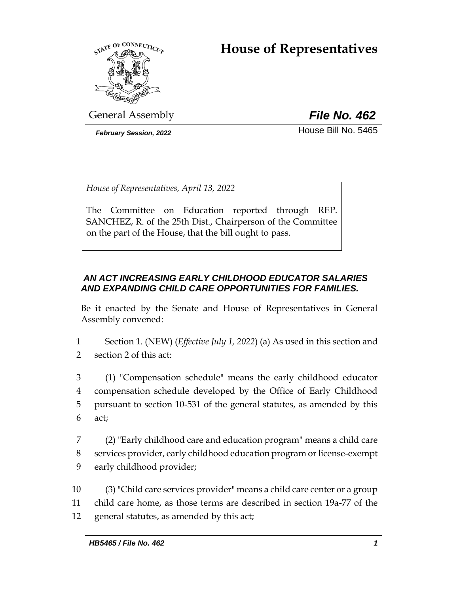# **House of Representatives**



General Assembly *File No. 462*

**February Session, 2022 House Bill No. 5465** 

*House of Representatives, April 13, 2022*

The Committee on Education reported through REP. SANCHEZ, R. of the 25th Dist., Chairperson of the Committee on the part of the House, that the bill ought to pass.

# *AN ACT INCREASING EARLY CHILDHOOD EDUCATOR SALARIES AND EXPANDING CHILD CARE OPPORTUNITIES FOR FAMILIES.*

Be it enacted by the Senate and House of Representatives in General Assembly convened:

1 Section 1. (NEW) (*Effective July 1, 2022*) (a) As used in this section and 2 section 2 of this act:

 (1) "Compensation schedule" means the early childhood educator compensation schedule developed by the Office of Early Childhood pursuant to section 10-531 of the general statutes, as amended by this 6 act;

7 (2) "Early childhood care and education program" means a child care 8 services provider, early childhood education program or license-exempt 9 early childhood provider;

10 (3) "Child care services provider" means a child care center or a group 11 child care home, as those terms are described in section 19a-77 of the 12 general statutes, as amended by this act;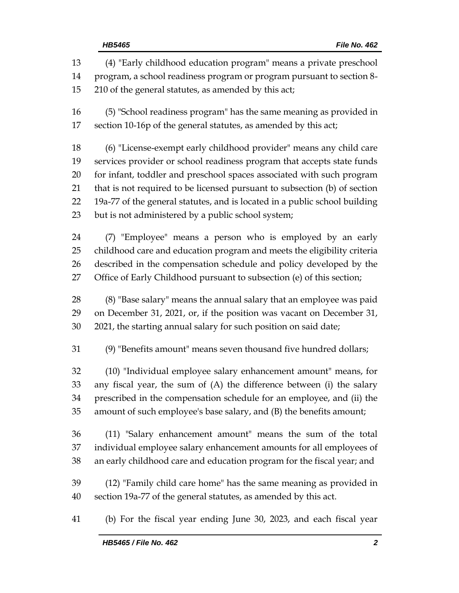(4) "Early childhood education program" means a private preschool program, a school readiness program or program pursuant to section 8- 210 of the general statutes, as amended by this act; (5) "School readiness program" has the same meaning as provided in section 10-16p of the general statutes, as amended by this act; (6) "License-exempt early childhood provider" means any child care services provider or school readiness program that accepts state funds for infant, toddler and preschool spaces associated with such program that is not required to be licensed pursuant to subsection (b) of section 19a-77 of the general statutes, and is located in a public school building but is not administered by a public school system; (7) "Employee" means a person who is employed by an early childhood care and education program and meets the eligibility criteria described in the compensation schedule and policy developed by the Office of Early Childhood pursuant to subsection (e) of this section; (8) "Base salary" means the annual salary that an employee was paid on December 31, 2021, or, if the position was vacant on December 31, 2021, the starting annual salary for such position on said date; (9) "Benefits amount" means seven thousand five hundred dollars; (10) "Individual employee salary enhancement amount" means, for any fiscal year, the sum of (A) the difference between (i) the salary prescribed in the compensation schedule for an employee, and (ii) the amount of such employee's base salary, and (B) the benefits amount; (11) "Salary enhancement amount" means the sum of the total individual employee salary enhancement amounts for all employees of an early childhood care and education program for the fiscal year; and (12) "Family child care home" has the same meaning as provided in section 19a-77 of the general statutes, as amended by this act. (b) For the fiscal year ending June 30, 2023, and each fiscal year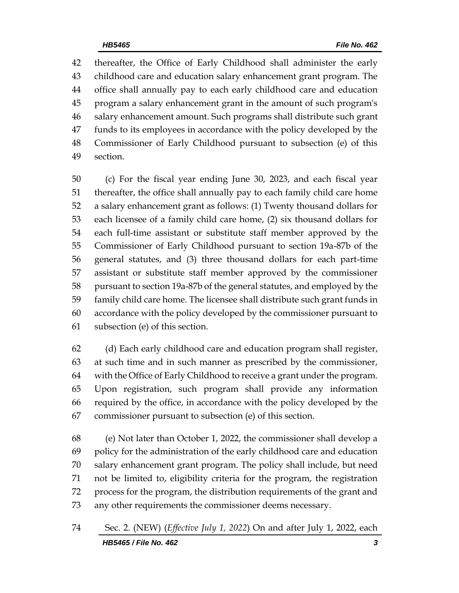thereafter, the Office of Early Childhood shall administer the early childhood care and education salary enhancement grant program. The office shall annually pay to each early childhood care and education program a salary enhancement grant in the amount of such program's salary enhancement amount. Such programs shall distribute such grant funds to its employees in accordance with the policy developed by the Commissioner of Early Childhood pursuant to subsection (e) of this section.

 (c) For the fiscal year ending June 30, 2023, and each fiscal year thereafter, the office shall annually pay to each family child care home a salary enhancement grant as follows: (1) Twenty thousand dollars for each licensee of a family child care home, (2) six thousand dollars for each full-time assistant or substitute staff member approved by the Commissioner of Early Childhood pursuant to section 19a-87b of the general statutes, and (3) three thousand dollars for each part-time assistant or substitute staff member approved by the commissioner pursuant to section 19a-87b of the general statutes, and employed by the family child care home. The licensee shall distribute such grant funds in accordance with the policy developed by the commissioner pursuant to subsection (e) of this section.

 (d) Each early childhood care and education program shall register, at such time and in such manner as prescribed by the commissioner, with the Office of Early Childhood to receive a grant under the program. Upon registration, such program shall provide any information required by the office, in accordance with the policy developed by the commissioner pursuant to subsection (e) of this section.

 (e) Not later than October 1, 2022, the commissioner shall develop a policy for the administration of the early childhood care and education salary enhancement grant program. The policy shall include, but need not be limited to, eligibility criteria for the program, the registration process for the program, the distribution requirements of the grant and any other requirements the commissioner deems necessary.

*HB5465 / File No. 462 3* Sec. 2. (NEW) (*Effective July 1, 2022*) On and after July 1, 2022, each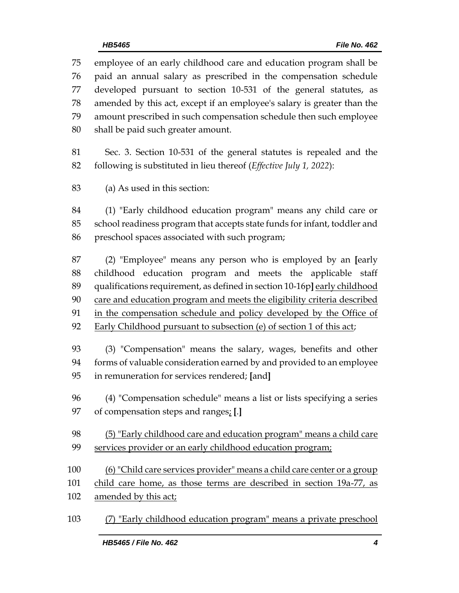employee of an early childhood care and education program shall be paid an annual salary as prescribed in the compensation schedule developed pursuant to section 10-531 of the general statutes, as amended by this act, except if an employee's salary is greater than the amount prescribed in such compensation schedule then such employee shall be paid such greater amount.

 Sec. 3. Section 10-531 of the general statutes is repealed and the following is substituted in lieu thereof (*Effective July 1, 2022*):

(a) As used in this section:

 (1) "Early childhood education program" means any child care or school readiness program that accepts state funds for infant, toddler and preschool spaces associated with such program;

 (2) "Employee" means any person who is employed by an **[**early childhood education program and meets the applicable staff qualifications requirement, as defined in section 10-16p**]** early childhood 90 care and education program and meets the eligibility criteria described in the compensation schedule and policy developed by the Office of Early Childhood pursuant to subsection (e) of section 1 of this act;

 (3) "Compensation" means the salary, wages, benefits and other forms of valuable consideration earned by and provided to an employee in remuneration for services rendered; **[**and**]**

 (4) "Compensation schedule" means a list or lists specifying a series of compensation steps and ranges; **[**.**]**

 (5) "Early childhood care and education program" means a child care services provider or an early childhood education program;

(6) "Child care services provider" means a child care center or a group

child care home, as those terms are described in section 19a-77, as

102 amended by this act;

(7) "Early childhood education program" means a private preschool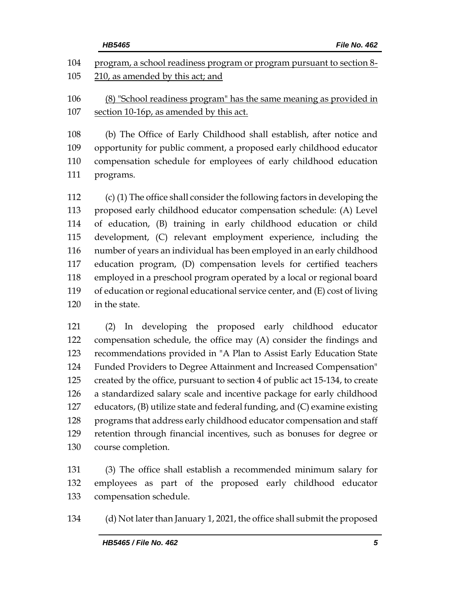|     | HB5465<br>File No. 462                                                      |
|-----|-----------------------------------------------------------------------------|
| 104 | program, a school readiness program or program pursuant to section 8-       |
| 105 | 210, as amended by this act; and                                            |
| 106 | (8) "School readiness program" has the same meaning as provided in          |
| 107 | section 10-16p, as amended by this act.                                     |
| 108 | (b) The Office of Early Childhood shall establish, after notice and         |
| 109 | opportunity for public comment, a proposed early childhood educator         |
| 110 | compensation schedule for employees of early childhood education            |
| 111 | programs.                                                                   |
| 112 | (c) (1) The office shall consider the following factors in developing the   |
| 113 | proposed early childhood educator compensation schedule: (A) Level          |
| 114 | of education, (B) training in early childhood education or child            |
| 115 | development, (C) relevant employment experience, including the              |
| 116 | number of years an individual has been employed in an early childhood       |
| 117 | education program, (D) compensation levels for certified teachers           |
| 118 | employed in a preschool program operated by a local or regional board       |
| 119 | of education or regional educational service center, and (E) cost of living |
| 120 | in the state.                                                               |
| 121 | $(2)$ In doveloping the proposed early childhood educator                   |

 (2) In developing the proposed early childhood educator compensation schedule, the office may (A) consider the findings and recommendations provided in "A Plan to Assist Early Education State Funded Providers to Degree Attainment and Increased Compensation" created by the office, pursuant to section 4 of public act 15-134, to create a standardized salary scale and incentive package for early childhood educators, (B) utilize state and federal funding, and (C) examine existing programs that address early childhood educator compensation and staff retention through financial incentives, such as bonuses for degree or course completion.

 (3) The office shall establish a recommended minimum salary for employees as part of the proposed early childhood educator compensation schedule.

(d) Not later than January 1, 2021, the office shall submit the proposed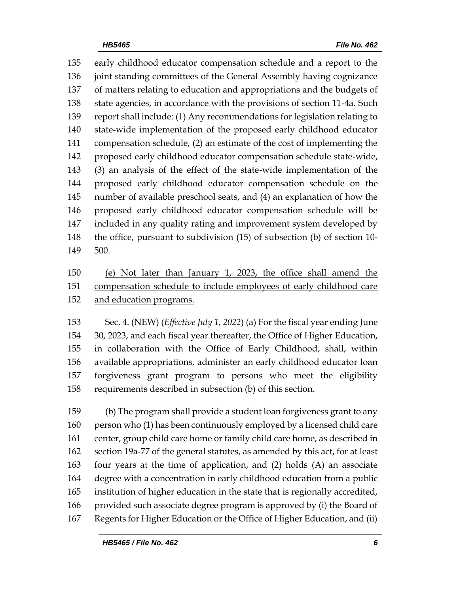early childhood educator compensation schedule and a report to the joint standing committees of the General Assembly having cognizance of matters relating to education and appropriations and the budgets of state agencies, in accordance with the provisions of section 11-4a. Such report shall include: (1) Any recommendations for legislation relating to state-wide implementation of the proposed early childhood educator compensation schedule, (2) an estimate of the cost of implementing the proposed early childhood educator compensation schedule state-wide, (3) an analysis of the effect of the state-wide implementation of the proposed early childhood educator compensation schedule on the number of available preschool seats, and (4) an explanation of how the proposed early childhood educator compensation schedule will be included in any quality rating and improvement system developed by the office, pursuant to subdivision (15) of subsection (b) of section 10- 500.

# (e) Not later than January 1, 2023, the office shall amend the compensation schedule to include employees of early childhood care and education programs.

 Sec. 4. (NEW) (*Effective July 1, 2022*) (a) For the fiscal year ending June 30, 2023, and each fiscal year thereafter, the Office of Higher Education, in collaboration with the Office of Early Childhood, shall, within available appropriations, administer an early childhood educator loan forgiveness grant program to persons who meet the eligibility requirements described in subsection (b) of this section.

 (b) The program shall provide a student loan forgiveness grant to any person who (1) has been continuously employed by a licensed child care center, group child care home or family child care home, as described in section 19a-77 of the general statutes, as amended by this act, for at least four years at the time of application, and (2) holds (A) an associate degree with a concentration in early childhood education from a public institution of higher education in the state that is regionally accredited, provided such associate degree program is approved by (i) the Board of Regents for Higher Education or the Office of Higher Education, and (ii)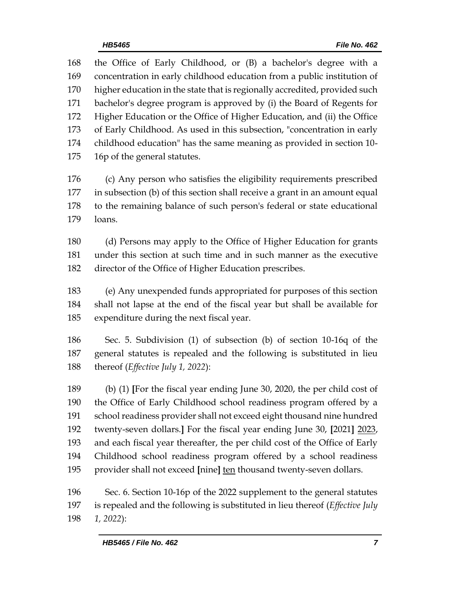the Office of Early Childhood, or (B) a bachelor's degree with a concentration in early childhood education from a public institution of higher education in the state that is regionally accredited, provided such bachelor's degree program is approved by (i) the Board of Regents for Higher Education or the Office of Higher Education, and (ii) the Office of Early Childhood. As used in this subsection, "concentration in early childhood education" has the same meaning as provided in section 10- 16p of the general statutes. (c) Any person who satisfies the eligibility requirements prescribed in subsection (b) of this section shall receive a grant in an amount equal to the remaining balance of such person's federal or state educational loans. (d) Persons may apply to the Office of Higher Education for grants under this section at such time and in such manner as the executive director of the Office of Higher Education prescribes. (e) Any unexpended funds appropriated for purposes of this section shall not lapse at the end of the fiscal year but shall be available for expenditure during the next fiscal year.

 Sec. 5. Subdivision (1) of subsection (b) of section 10-16q of the general statutes is repealed and the following is substituted in lieu thereof (*Effective July 1, 2022*):

 (b) (1) **[**For the fiscal year ending June 30, 2020, the per child cost of the Office of Early Childhood school readiness program offered by a school readiness provider shall not exceed eight thousand nine hundred twenty-seven dollars.**]** For the fiscal year ending June 30, **[**2021**]** 2023, and each fiscal year thereafter, the per child cost of the Office of Early Childhood school readiness program offered by a school readiness provider shall not exceed **[**nine**]** ten thousand twenty-seven dollars.

 Sec. 6. Section 10-16p of the 2022 supplement to the general statutes is repealed and the following is substituted in lieu thereof (*Effective July 1, 2022*):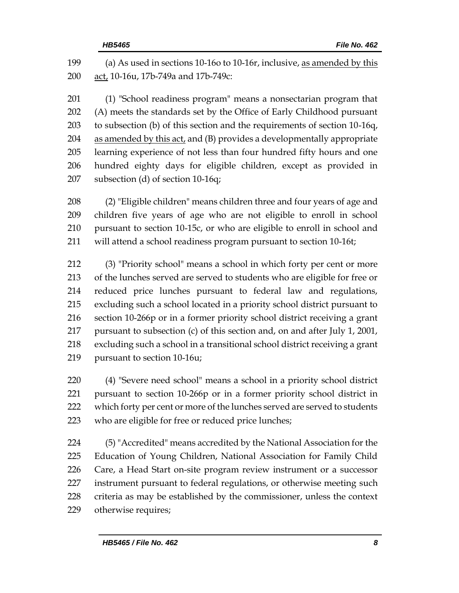| 199 | (a) As used in sections 10-160 to 10-16r, inclusive, as amended by this     |
|-----|-----------------------------------------------------------------------------|
| 200 | act, 10-16u, 17b-749a and 17b-749c:                                         |
| 201 | (1) "School readiness program" means a nonsectarian program that            |
| 202 | (A) meets the standards set by the Office of Early Childhood pursuant       |
| 203 | to subsection (b) of this section and the requirements of section 10-16q,   |
| 204 | as amended by this act, and (B) provides a developmentally appropriate      |
| 205 | learning experience of not less than four hundred fifty hours and one       |
| 206 | hundred eighty days for eligible children, except as provided in            |
| 207 | subsection (d) of section 10-16q;                                           |
| 208 | (2) "Eligible children" means children three and four years of age and      |
| 209 | children five years of age who are not eligible to enroll in school         |
| 210 | pursuant to section 10-15c, or who are eligible to enroll in school and     |
| 211 | will attend a school readiness program pursuant to section 10-16t;          |
| 212 | (3) "Priority school" means a school in which forty per cent or more        |
| 213 | of the lunches served are served to students who are eligible for free or   |
| 214 | reduced price lunches pursuant to federal law and regulations,              |
| 215 | excluding such a school located in a priority school district pursuant to   |
| 216 | section 10-266p or in a former priority school district receiving a grant   |
| 217 | pursuant to subsection (c) of this section and, on and after July 1, 2001,  |
| 218 | excluding such a school in a transitional school district receiving a grant |

pursuant to section 10-16u;

 (4) "Severe need school" means a school in a priority school district pursuant to section 10-266p or in a former priority school district in which forty per cent or more of the lunches served are served to students who are eligible for free or reduced price lunches;

 (5) "Accredited" means accredited by the National Association for the Education of Young Children, National Association for Family Child Care, a Head Start on-site program review instrument or a successor instrument pursuant to federal regulations, or otherwise meeting such criteria as may be established by the commissioner, unless the context otherwise requires;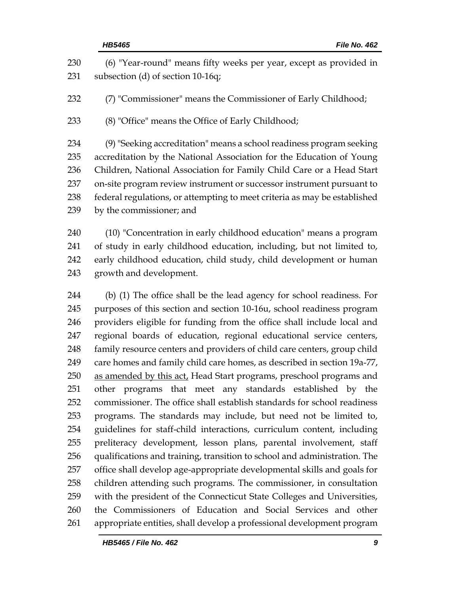| 230<br>231                             | (6) "Year-round" means fifty weeks per year, except as provided in<br>subsection (d) of section 10-16q;                                                                                                                                                                                                                                                                                                |
|----------------------------------------|--------------------------------------------------------------------------------------------------------------------------------------------------------------------------------------------------------------------------------------------------------------------------------------------------------------------------------------------------------------------------------------------------------|
| 232                                    | (7) "Commissioner" means the Commissioner of Early Childhood;                                                                                                                                                                                                                                                                                                                                          |
| 233                                    | (8) "Office" means the Office of Early Childhood;                                                                                                                                                                                                                                                                                                                                                      |
| 234<br>235<br>236<br>237<br>238<br>239 | (9) "Seeking accreditation" means a school readiness program seeking<br>accreditation by the National Association for the Education of Young<br>Children, National Association for Family Child Care or a Head Start<br>on-site program review instrument or successor instrument pursuant to<br>federal regulations, or attempting to meet criteria as may be established<br>by the commissioner; and |
| 240<br>241<br>242<br>243               | (10) "Concentration in early childhood education" means a program<br>of study in early childhood education, including, but not limited to,<br>early childhood education, child study, child development or human<br>growth and development.                                                                                                                                                            |
| 244<br>245                             | (b) (1) The office shall be the lead agency for school readiness. For<br>purposes of this section and section 10-16u, school readiness program                                                                                                                                                                                                                                                         |
| 246                                    | providers eligible for funding from the office shall include local and                                                                                                                                                                                                                                                                                                                                 |
| 247                                    | regional boards of education, regional educational service centers,                                                                                                                                                                                                                                                                                                                                    |
| 248                                    | family resource centers and providers of child care centers, group child                                                                                                                                                                                                                                                                                                                               |
| 249                                    | care homes and family child care homes, as described in section 19a-77,                                                                                                                                                                                                                                                                                                                                |
| 250                                    | as amended by this act, Head Start programs, preschool programs and                                                                                                                                                                                                                                                                                                                                    |
| 251                                    | other programs that meet any standards established by the                                                                                                                                                                                                                                                                                                                                              |
| 252                                    | commissioner. The office shall establish standards for school readiness                                                                                                                                                                                                                                                                                                                                |
| 253                                    | programs. The standards may include, but need not be limited to,                                                                                                                                                                                                                                                                                                                                       |
| 254                                    | guidelines for staff-child interactions, curriculum content, including                                                                                                                                                                                                                                                                                                                                 |
| 255                                    | preliteracy development, lesson plans, parental involvement, staff                                                                                                                                                                                                                                                                                                                                     |
| 256                                    | qualifications and training, transition to school and administration. The                                                                                                                                                                                                                                                                                                                              |
| 257                                    | office shall develop age-appropriate developmental skills and goals for                                                                                                                                                                                                                                                                                                                                |
| 258                                    | children attending such programs. The commissioner, in consultation                                                                                                                                                                                                                                                                                                                                    |
| 259                                    | with the president of the Connecticut State Colleges and Universities,                                                                                                                                                                                                                                                                                                                                 |
|                                        |                                                                                                                                                                                                                                                                                                                                                                                                        |

 the Commissioners of Education and Social Services and other appropriate entities, shall develop a professional development program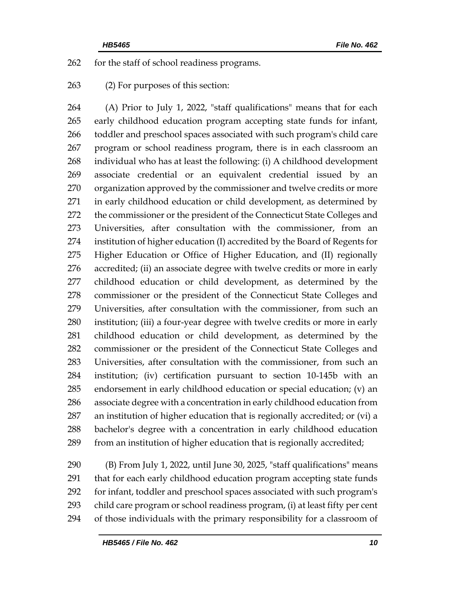for the staff of school readiness programs.

(2) For purposes of this section:

 (A) Prior to July 1, 2022, "staff qualifications" means that for each early childhood education program accepting state funds for infant, toddler and preschool spaces associated with such program's child care program or school readiness program, there is in each classroom an individual who has at least the following: (i) A childhood development associate credential or an equivalent credential issued by an organization approved by the commissioner and twelve credits or more in early childhood education or child development, as determined by 272 the commissioner or the president of the Connecticut State Colleges and Universities, after consultation with the commissioner, from an institution of higher education (I) accredited by the Board of Regents for Higher Education or Office of Higher Education, and (II) regionally accredited; (ii) an associate degree with twelve credits or more in early childhood education or child development, as determined by the commissioner or the president of the Connecticut State Colleges and Universities, after consultation with the commissioner, from such an institution; (iii) a four-year degree with twelve credits or more in early childhood education or child development, as determined by the commissioner or the president of the Connecticut State Colleges and Universities, after consultation with the commissioner, from such an institution; (iv) certification pursuant to section 10-145b with an endorsement in early childhood education or special education; (v) an associate degree with a concentration in early childhood education from an institution of higher education that is regionally accredited; or (vi) a bachelor's degree with a concentration in early childhood education from an institution of higher education that is regionally accredited;

 (B) From July 1, 2022, until June 30, 2025, "staff qualifications" means that for each early childhood education program accepting state funds for infant, toddler and preschool spaces associated with such program's child care program or school readiness program, (i) at least fifty per cent of those individuals with the primary responsibility for a classroom of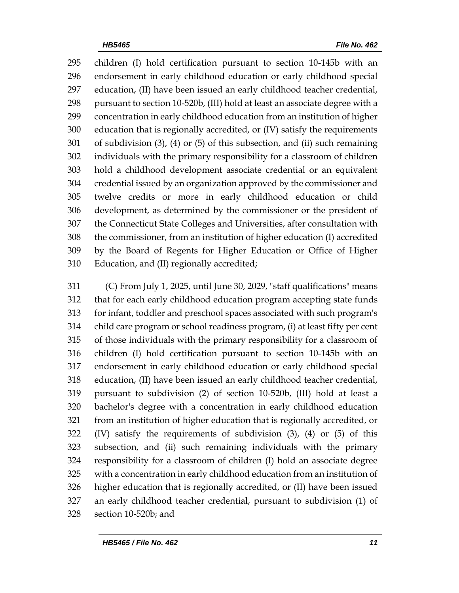children (I) hold certification pursuant to section 10-145b with an endorsement in early childhood education or early childhood special education, (II) have been issued an early childhood teacher credential, pursuant to section 10-520b, (III) hold at least an associate degree with a concentration in early childhood education from an institution of higher education that is regionally accredited, or (IV) satisfy the requirements of subdivision (3), (4) or (5) of this subsection, and (ii) such remaining individuals with the primary responsibility for a classroom of children hold a childhood development associate credential or an equivalent credential issued by an organization approved by the commissioner and twelve credits or more in early childhood education or child development, as determined by the commissioner or the president of the Connecticut State Colleges and Universities, after consultation with the commissioner, from an institution of higher education (I) accredited by the Board of Regents for Higher Education or Office of Higher Education, and (II) regionally accredited;

 (C) From July 1, 2025, until June 30, 2029, "staff qualifications" means that for each early childhood education program accepting state funds for infant, toddler and preschool spaces associated with such program's child care program or school readiness program, (i) at least fifty per cent of those individuals with the primary responsibility for a classroom of children (I) hold certification pursuant to section 10-145b with an endorsement in early childhood education or early childhood special education, (II) have been issued an early childhood teacher credential, pursuant to subdivision (2) of section 10-520b, (III) hold at least a bachelor's degree with a concentration in early childhood education from an institution of higher education that is regionally accredited, or (IV) satisfy the requirements of subdivision (3), (4) or (5) of this subsection, and (ii) such remaining individuals with the primary responsibility for a classroom of children (I) hold an associate degree with a concentration in early childhood education from an institution of higher education that is regionally accredited, or (II) have been issued an early childhood teacher credential, pursuant to subdivision (1) of section 10-520b; and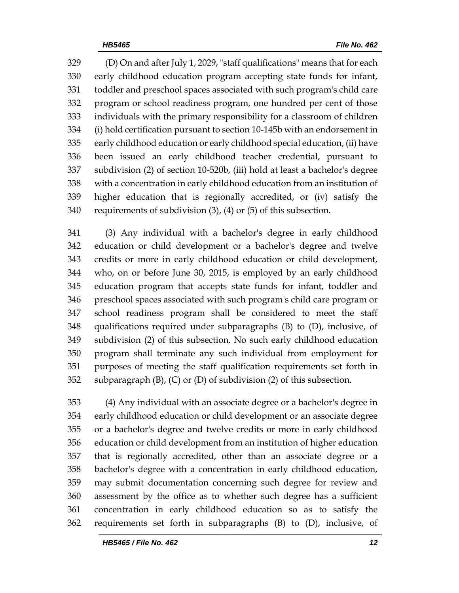(D) On and after July 1, 2029, "staff qualifications" means that for each early childhood education program accepting state funds for infant, toddler and preschool spaces associated with such program's child care program or school readiness program, one hundred per cent of those individuals with the primary responsibility for a classroom of children (i) hold certification pursuant to section 10-145b with an endorsement in early childhood education or early childhood special education, (ii) have been issued an early childhood teacher credential, pursuant to subdivision (2) of section 10-520b, (iii) hold at least a bachelor's degree with a concentration in early childhood education from an institution of higher education that is regionally accredited, or (iv) satisfy the requirements of subdivision (3), (4) or (5) of this subsection.

 (3) Any individual with a bachelor's degree in early childhood education or child development or a bachelor's degree and twelve credits or more in early childhood education or child development, who, on or before June 30, 2015, is employed by an early childhood education program that accepts state funds for infant, toddler and preschool spaces associated with such program's child care program or school readiness program shall be considered to meet the staff qualifications required under subparagraphs (B) to (D), inclusive, of subdivision (2) of this subsection. No such early childhood education program shall terminate any such individual from employment for purposes of meeting the staff qualification requirements set forth in 352 subparagraph  $(B)$ ,  $(C)$  or  $(D)$  of subdivision  $(2)$  of this subsection.

 (4) Any individual with an associate degree or a bachelor's degree in early childhood education or child development or an associate degree or a bachelor's degree and twelve credits or more in early childhood education or child development from an institution of higher education that is regionally accredited, other than an associate degree or a bachelor's degree with a concentration in early childhood education, may submit documentation concerning such degree for review and assessment by the office as to whether such degree has a sufficient concentration in early childhood education so as to satisfy the requirements set forth in subparagraphs (B) to (D), inclusive, of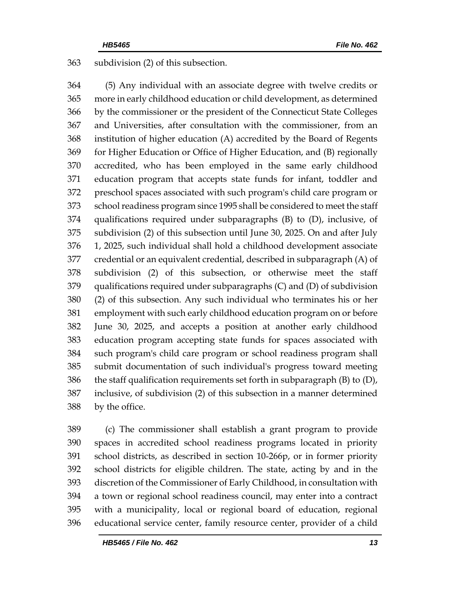subdivision (2) of this subsection.

 (5) Any individual with an associate degree with twelve credits or more in early childhood education or child development, as determined by the commissioner or the president of the Connecticut State Colleges and Universities, after consultation with the commissioner, from an institution of higher education (A) accredited by the Board of Regents for Higher Education or Office of Higher Education, and (B) regionally accredited, who has been employed in the same early childhood education program that accepts state funds for infant, toddler and preschool spaces associated with such program's child care program or school readiness program since 1995 shall be considered to meet the staff qualifications required under subparagraphs (B) to (D), inclusive, of subdivision (2) of this subsection until June 30, 2025. On and after July 1, 2025, such individual shall hold a childhood development associate credential or an equivalent credential, described in subparagraph (A) of subdivision (2) of this subsection, or otherwise meet the staff qualifications required under subparagraphs (C) and (D) of subdivision (2) of this subsection. Any such individual who terminates his or her employment with such early childhood education program on or before June 30, 2025, and accepts a position at another early childhood education program accepting state funds for spaces associated with such program's child care program or school readiness program shall submit documentation of such individual's progress toward meeting 386 the staff qualification requirements set forth in subparagraph  $(B)$  to  $(D)$ , inclusive, of subdivision (2) of this subsection in a manner determined by the office.

 (c) The commissioner shall establish a grant program to provide spaces in accredited school readiness programs located in priority school districts, as described in section 10-266p, or in former priority school districts for eligible children. The state, acting by and in the discretion of the Commissioner of Early Childhood, in consultation with a town or regional school readiness council, may enter into a contract with a municipality, local or regional board of education, regional educational service center, family resource center, provider of a child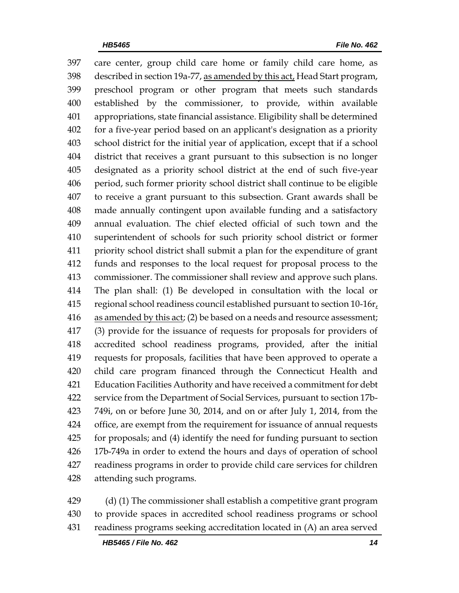care center, group child care home or family child care home, as described in section 19a-77, as amended by this act, Head Start program, preschool program or other program that meets such standards established by the commissioner, to provide, within available appropriations, state financial assistance. Eligibility shall be determined for a five-year period based on an applicant's designation as a priority school district for the initial year of application, except that if a school district that receives a grant pursuant to this subsection is no longer designated as a priority school district at the end of such five-year period, such former priority school district shall continue to be eligible to receive a grant pursuant to this subsection. Grant awards shall be made annually contingent upon available funding and a satisfactory annual evaluation. The chief elected official of such town and the superintendent of schools for such priority school district or former priority school district shall submit a plan for the expenditure of grant funds and responses to the local request for proposal process to the commissioner. The commissioner shall review and approve such plans. The plan shall: (1) Be developed in consultation with the local or 415 regional school readiness council established pursuant to section 10-16r. 416 as amended by this act; (2) be based on a needs and resource assessment; (3) provide for the issuance of requests for proposals for providers of accredited school readiness programs, provided, after the initial requests for proposals, facilities that have been approved to operate a child care program financed through the Connecticut Health and Education Facilities Authority and have received a commitment for debt service from the Department of Social Services, pursuant to section 17b- 749i, on or before June 30, 2014, and on or after July 1, 2014, from the office, are exempt from the requirement for issuance of annual requests for proposals; and (4) identify the need for funding pursuant to section 17b-749a in order to extend the hours and days of operation of school readiness programs in order to provide child care services for children attending such programs.

 (d) (1) The commissioner shall establish a competitive grant program to provide spaces in accredited school readiness programs or school readiness programs seeking accreditation located in (A) an area served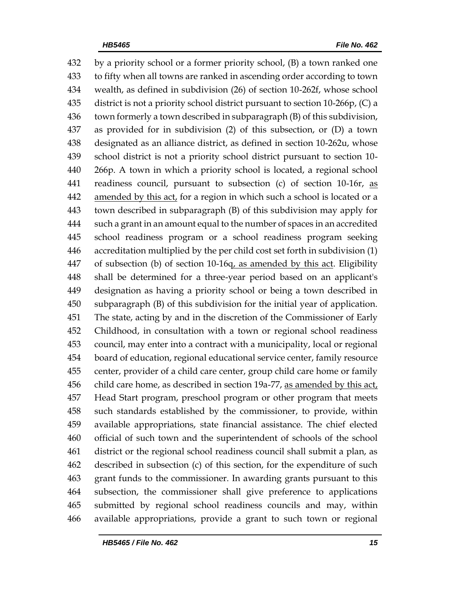by a priority school or a former priority school, (B) a town ranked one to fifty when all towns are ranked in ascending order according to town wealth, as defined in subdivision (26) of section 10-262f, whose school district is not a priority school district pursuant to section 10-266p, (C) a town formerly a town described in subparagraph (B) of this subdivision, as provided for in subdivision (2) of this subsection, or (D) a town designated as an alliance district, as defined in section 10-262u, whose school district is not a priority school district pursuant to section 10- 266p. A town in which a priority school is located, a regional school readiness council, pursuant to subsection (c) of section 10-16r, as 442 amended by this act, for a region in which such a school is located or a town described in subparagraph (B) of this subdivision may apply for such a grant in an amount equal to the number of spaces in an accredited school readiness program or a school readiness program seeking accreditation multiplied by the per child cost set forth in subdivision (1) 447 of subsection (b) of section 10-16q, as amended by this act. Eligibility shall be determined for a three-year period based on an applicant's designation as having a priority school or being a town described in subparagraph (B) of this subdivision for the initial year of application. The state, acting by and in the discretion of the Commissioner of Early Childhood, in consultation with a town or regional school readiness council, may enter into a contract with a municipality, local or regional board of education, regional educational service center, family resource center, provider of a child care center, group child care home or family child care home, as described in section 19a-77, as amended by this act, Head Start program, preschool program or other program that meets such standards established by the commissioner, to provide, within available appropriations, state financial assistance. The chief elected official of such town and the superintendent of schools of the school district or the regional school readiness council shall submit a plan, as described in subsection (c) of this section, for the expenditure of such grant funds to the commissioner. In awarding grants pursuant to this subsection, the commissioner shall give preference to applications submitted by regional school readiness councils and may, within available appropriations, provide a grant to such town or regional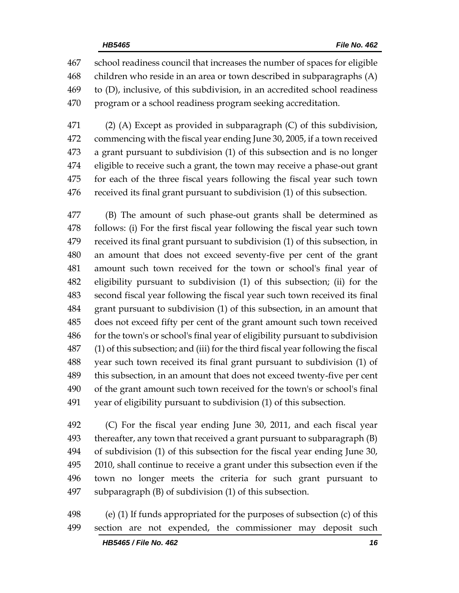school readiness council that increases the number of spaces for eligible children who reside in an area or town described in subparagraphs (A) to (D), inclusive, of this subdivision, in an accredited school readiness program or a school readiness program seeking accreditation.

 (2) (A) Except as provided in subparagraph (C) of this subdivision, commencing with the fiscal year ending June 30, 2005, if a town received a grant pursuant to subdivision (1) of this subsection and is no longer eligible to receive such a grant, the town may receive a phase-out grant for each of the three fiscal years following the fiscal year such town received its final grant pursuant to subdivision (1) of this subsection.

 (B) The amount of such phase-out grants shall be determined as follows: (i) For the first fiscal year following the fiscal year such town received its final grant pursuant to subdivision (1) of this subsection, in an amount that does not exceed seventy-five per cent of the grant amount such town received for the town or school's final year of eligibility pursuant to subdivision (1) of this subsection; (ii) for the second fiscal year following the fiscal year such town received its final grant pursuant to subdivision (1) of this subsection, in an amount that does not exceed fifty per cent of the grant amount such town received for the town's or school's final year of eligibility pursuant to subdivision (1) of this subsection; and (iii) for the third fiscal year following the fiscal year such town received its final grant pursuant to subdivision (1) of this subsection, in an amount that does not exceed twenty-five per cent of the grant amount such town received for the town's or school's final year of eligibility pursuant to subdivision (1) of this subsection.

 (C) For the fiscal year ending June 30, 2011, and each fiscal year thereafter, any town that received a grant pursuant to subparagraph (B) of subdivision (1) of this subsection for the fiscal year ending June 30, 2010, shall continue to receive a grant under this subsection even if the town no longer meets the criteria for such grant pursuant to subparagraph (B) of subdivision (1) of this subsection.

 (e) (1) If funds appropriated for the purposes of subsection (c) of this section are not expended, the commissioner may deposit such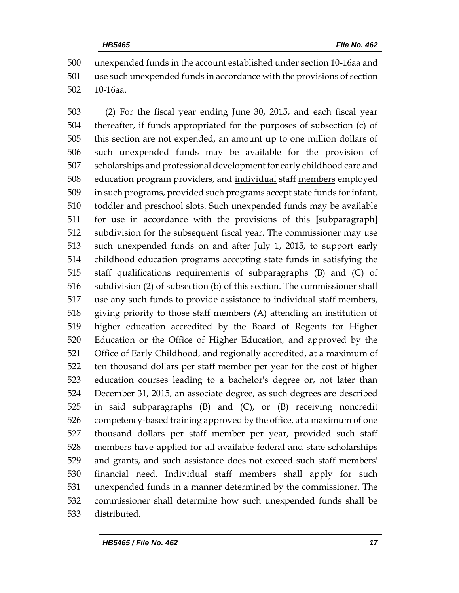unexpended funds in the account established under section 10-16aa and use such unexpended funds in accordance with the provisions of section 10-16aa.

 (2) For the fiscal year ending June 30, 2015, and each fiscal year thereafter, if funds appropriated for the purposes of subsection (c) of this section are not expended, an amount up to one million dollars of such unexpended funds may be available for the provision of 507 scholarships and professional development for early childhood care and education program providers, and individual staff members employed in such programs, provided such programs accept state funds for infant, toddler and preschool slots. Such unexpended funds may be available for use in accordance with the provisions of this **[**subparagraph**]** 512 subdivision for the subsequent fiscal year. The commissioner may use such unexpended funds on and after July 1, 2015, to support early childhood education programs accepting state funds in satisfying the staff qualifications requirements of subparagraphs (B) and (C) of subdivision (2) of subsection (b) of this section. The commissioner shall use any such funds to provide assistance to individual staff members, giving priority to those staff members (A) attending an institution of higher education accredited by the Board of Regents for Higher Education or the Office of Higher Education, and approved by the Office of Early Childhood, and regionally accredited, at a maximum of ten thousand dollars per staff member per year for the cost of higher education courses leading to a bachelor's degree or, not later than December 31, 2015, an associate degree, as such degrees are described in said subparagraphs (B) and (C), or (B) receiving noncredit competency-based training approved by the office, at a maximum of one thousand dollars per staff member per year, provided such staff members have applied for all available federal and state scholarships and grants, and such assistance does not exceed such staff members' financial need. Individual staff members shall apply for such unexpended funds in a manner determined by the commissioner. The commissioner shall determine how such unexpended funds shall be distributed.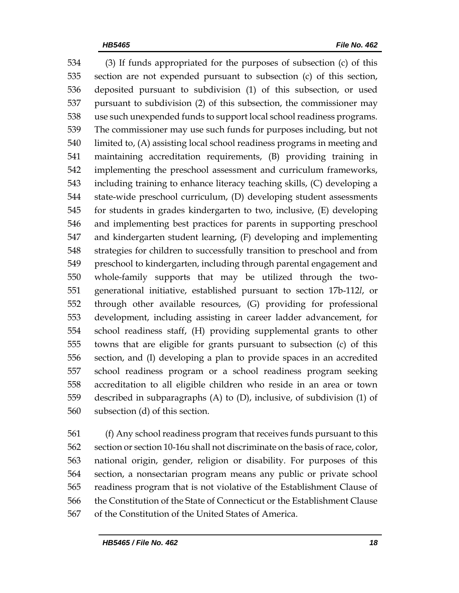(3) If funds appropriated for the purposes of subsection (c) of this section are not expended pursuant to subsection (c) of this section, deposited pursuant to subdivision (1) of this subsection, or used pursuant to subdivision (2) of this subsection, the commissioner may use such unexpended funds to support local school readiness programs. The commissioner may use such funds for purposes including, but not limited to, (A) assisting local school readiness programs in meeting and maintaining accreditation requirements, (B) providing training in implementing the preschool assessment and curriculum frameworks, including training to enhance literacy teaching skills, (C) developing a state-wide preschool curriculum, (D) developing student assessments for students in grades kindergarten to two, inclusive, (E) developing and implementing best practices for parents in supporting preschool and kindergarten student learning, (F) developing and implementing strategies for children to successfully transition to preschool and from preschool to kindergarten, including through parental engagement and whole-family supports that may be utilized through the two- generational initiative, established pursuant to section 17b-112*l*, or through other available resources, (G) providing for professional development, including assisting in career ladder advancement, for school readiness staff, (H) providing supplemental grants to other towns that are eligible for grants pursuant to subsection (c) of this section, and (I) developing a plan to provide spaces in an accredited school readiness program or a school readiness program seeking accreditation to all eligible children who reside in an area or town described in subparagraphs (A) to (D), inclusive, of subdivision (1) of subsection (d) of this section.

 (f) Any school readiness program that receives funds pursuant to this section or section 10-16u shall not discriminate on the basis of race, color, national origin, gender, religion or disability. For purposes of this section, a nonsectarian program means any public or private school readiness program that is not violative of the Establishment Clause of the Constitution of the State of Connecticut or the Establishment Clause of the Constitution of the United States of America.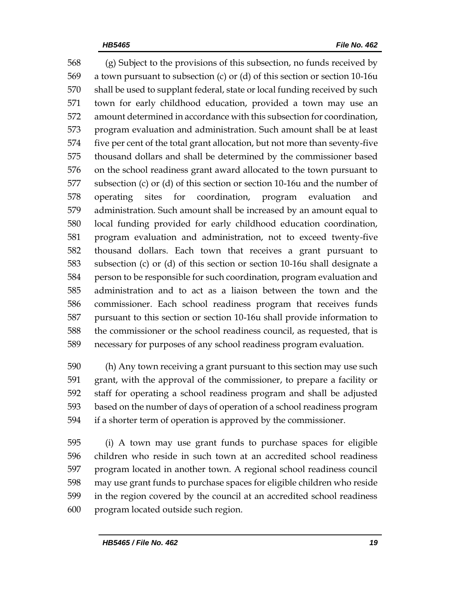(g) Subject to the provisions of this subsection, no funds received by a town pursuant to subsection (c) or (d) of this section or section 10-16u shall be used to supplant federal, state or local funding received by such town for early childhood education, provided a town may use an amount determined in accordance with this subsection for coordination, program evaluation and administration. Such amount shall be at least five per cent of the total grant allocation, but not more than seventy-five thousand dollars and shall be determined by the commissioner based on the school readiness grant award allocated to the town pursuant to subsection (c) or (d) of this section or section 10-16u and the number of operating sites for coordination, program evaluation and administration. Such amount shall be increased by an amount equal to local funding provided for early childhood education coordination, program evaluation and administration, not to exceed twenty-five thousand dollars. Each town that receives a grant pursuant to subsection (c) or (d) of this section or section 10-16u shall designate a person to be responsible for such coordination, program evaluation and administration and to act as a liaison between the town and the commissioner. Each school readiness program that receives funds pursuant to this section or section 10-16u shall provide information to the commissioner or the school readiness council, as requested, that is necessary for purposes of any school readiness program evaluation.

 (h) Any town receiving a grant pursuant to this section may use such grant, with the approval of the commissioner, to prepare a facility or staff for operating a school readiness program and shall be adjusted based on the number of days of operation of a school readiness program if a shorter term of operation is approved by the commissioner.

 (i) A town may use grant funds to purchase spaces for eligible children who reside in such town at an accredited school readiness program located in another town. A regional school readiness council may use grant funds to purchase spaces for eligible children who reside in the region covered by the council at an accredited school readiness program located outside such region.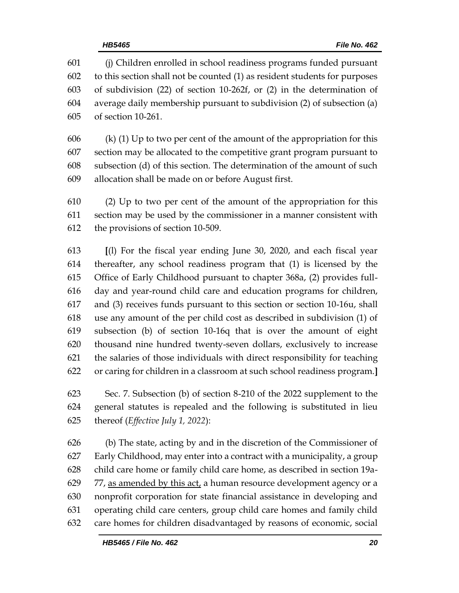(j) Children enrolled in school readiness programs funded pursuant to this section shall not be counted (1) as resident students for purposes of subdivision (22) of section 10-262f, or (2) in the determination of average daily membership pursuant to subdivision (2) of subsection (a) of section 10-261.

606 (k) (1) Up to two per cent of the amount of the appropriation for this section may be allocated to the competitive grant program pursuant to subsection (d) of this section. The determination of the amount of such allocation shall be made on or before August first.

 (2) Up to two per cent of the amount of the appropriation for this section may be used by the commissioner in a manner consistent with the provisions of section 10-509.

 **[**(l) For the fiscal year ending June 30, 2020, and each fiscal year thereafter, any school readiness program that (1) is licensed by the Office of Early Childhood pursuant to chapter 368a, (2) provides full- day and year-round child care and education programs for children, and (3) receives funds pursuant to this section or section 10-16u, shall use any amount of the per child cost as described in subdivision (1) of subsection (b) of section 10-16q that is over the amount of eight thousand nine hundred twenty-seven dollars, exclusively to increase the salaries of those individuals with direct responsibility for teaching or caring for children in a classroom at such school readiness program.**]**

 Sec. 7. Subsection (b) of section 8-210 of the 2022 supplement to the general statutes is repealed and the following is substituted in lieu thereof (*Effective July 1, 2022*):

 (b) The state, acting by and in the discretion of the Commissioner of Early Childhood, may enter into a contract with a municipality, a group child care home or family child care home, as described in section 19a-629 77, as amended by this act, a human resource development agency or a nonprofit corporation for state financial assistance in developing and operating child care centers, group child care homes and family child care homes for children disadvantaged by reasons of economic, social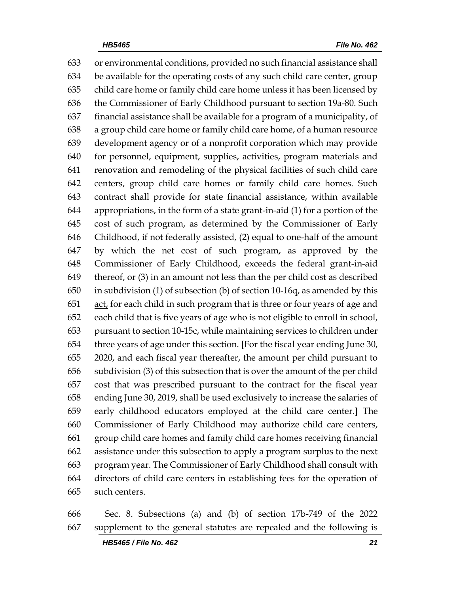or environmental conditions, provided no such financial assistance shall be available for the operating costs of any such child care center, group child care home or family child care home unless it has been licensed by the Commissioner of Early Childhood pursuant to section 19a-80. Such financial assistance shall be available for a program of a municipality, of a group child care home or family child care home, of a human resource development agency or of a nonprofit corporation which may provide for personnel, equipment, supplies, activities, program materials and renovation and remodeling of the physical facilities of such child care centers, group child care homes or family child care homes. Such contract shall provide for state financial assistance, within available appropriations, in the form of a state grant-in-aid (1) for a portion of the cost of such program, as determined by the Commissioner of Early Childhood, if not federally assisted, (2) equal to one-half of the amount by which the net cost of such program, as approved by the Commissioner of Early Childhood, exceeds the federal grant-in-aid thereof, or (3) in an amount not less than the per child cost as described in subdivision (1) of subsection (b) of section 10-16q, as amended by this act, for each child in such program that is three or four years of age and each child that is five years of age who is not eligible to enroll in school, pursuant to section 10-15c, while maintaining services to children under three years of age under this section. **[**For the fiscal year ending June 30, 2020, and each fiscal year thereafter, the amount per child pursuant to subdivision (3) of this subsection that is over the amount of the per child cost that was prescribed pursuant to the contract for the fiscal year ending June 30, 2019, shall be used exclusively to increase the salaries of early childhood educators employed at the child care center.**]** The Commissioner of Early Childhood may authorize child care centers, group child care homes and family child care homes receiving financial assistance under this subsection to apply a program surplus to the next program year. The Commissioner of Early Childhood shall consult with directors of child care centers in establishing fees for the operation of such centers.

 Sec. 8. Subsections (a) and (b) of section 17b-749 of the 2022 supplement to the general statutes are repealed and the following is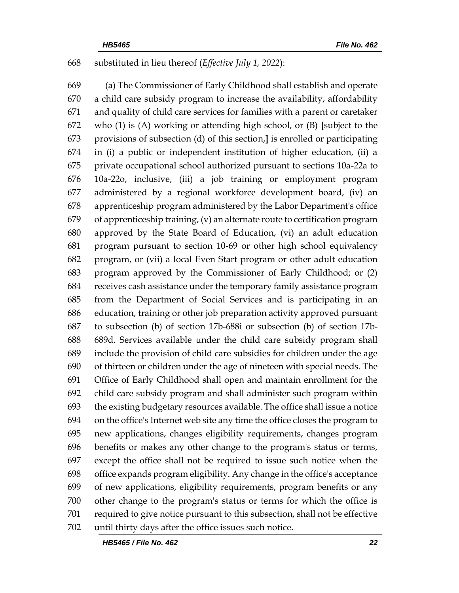#### substituted in lieu thereof (*Effective July 1, 2022*):

 (a) The Commissioner of Early Childhood shall establish and operate a child care subsidy program to increase the availability, affordability and quality of child care services for families with a parent or caretaker who (1) is (A) working or attending high school, or (B) **[**subject to the provisions of subsection (d) of this section,**]** is enrolled or participating in (i) a public or independent institution of higher education, (ii) a private occupational school authorized pursuant to sections 10a-22a to 10a-22o, inclusive, (iii) a job training or employment program administered by a regional workforce development board, (iv) an apprenticeship program administered by the Labor Department's office of apprenticeship training, (v) an alternate route to certification program approved by the State Board of Education, (vi) an adult education program pursuant to section 10-69 or other high school equivalency program, or (vii) a local Even Start program or other adult education program approved by the Commissioner of Early Childhood; or (2) receives cash assistance under the temporary family assistance program from the Department of Social Services and is participating in an education, training or other job preparation activity approved pursuant to subsection (b) of section 17b-688i or subsection (b) of section 17b- 689d. Services available under the child care subsidy program shall include the provision of child care subsidies for children under the age of thirteen or children under the age of nineteen with special needs. The Office of Early Childhood shall open and maintain enrollment for the child care subsidy program and shall administer such program within the existing budgetary resources available. The office shall issue a notice on the office's Internet web site any time the office closes the program to new applications, changes eligibility requirements, changes program benefits or makes any other change to the program's status or terms, except the office shall not be required to issue such notice when the office expands program eligibility. Any change in the office's acceptance of new applications, eligibility requirements, program benefits or any other change to the program's status or terms for which the office is required to give notice pursuant to this subsection, shall not be effective until thirty days after the office issues such notice.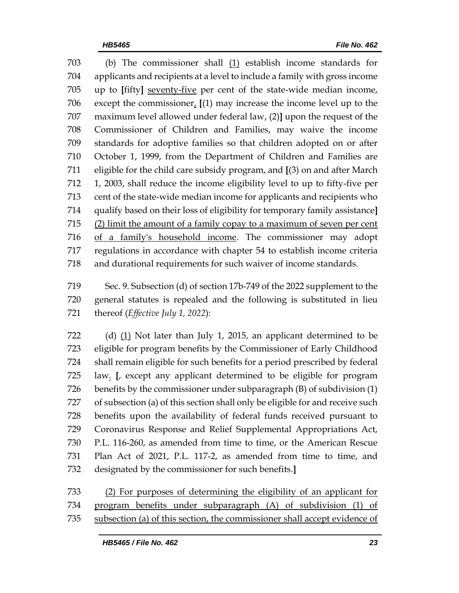(b) The commissioner shall (1) establish income standards for applicants and recipients at a level to include a family with gross income up to **[**fifty**]** seventy-five per cent of the state-wide median income, except the commissioner, **[**(1) may increase the income level up to the maximum level allowed under federal law, (2)**]** upon the request of the Commissioner of Children and Families, may waive the income standards for adoptive families so that children adopted on or after October 1, 1999, from the Department of Children and Families are eligible for the child care subsidy program, and **[**(3) on and after March 1, 2003, shall reduce the income eligibility level to up to fifty-five per cent of the state-wide median income for applicants and recipients who qualify based on their loss of eligibility for temporary family assistance**]** (2) limit the amount of a family copay to a maximum of seven per cent of a family's household income. The commissioner may adopt regulations in accordance with chapter 54 to establish income criteria and durational requirements for such waiver of income standards.

 Sec. 9. Subsection (d) of section 17b-749 of the 2022 supplement to the general statutes is repealed and the following is substituted in lieu thereof (*Effective July 1, 2022*):

 (d) (1) Not later than July 1, 2015, an applicant determined to be eligible for program benefits by the Commissioner of Early Childhood shall remain eligible for such benefits for a period prescribed by federal law. **[**, except any applicant determined to be eligible for program benefits by the commissioner under subparagraph (B) of subdivision (1) of subsection (a) of this section shall only be eligible for and receive such benefits upon the availability of federal funds received pursuant to Coronavirus Response and Relief Supplemental Appropriations Act, P.L. 116-260, as amended from time to time, or the American Rescue Plan Act of 2021, P.L. 117-2, as amended from time to time, and designated by the commissioner for such benefits.**]**

 (2) For purposes of determining the eligibility of an applicant for program benefits under subparagraph (A) of subdivision (1) of subsection (a) of this section, the commissioner shall accept evidence of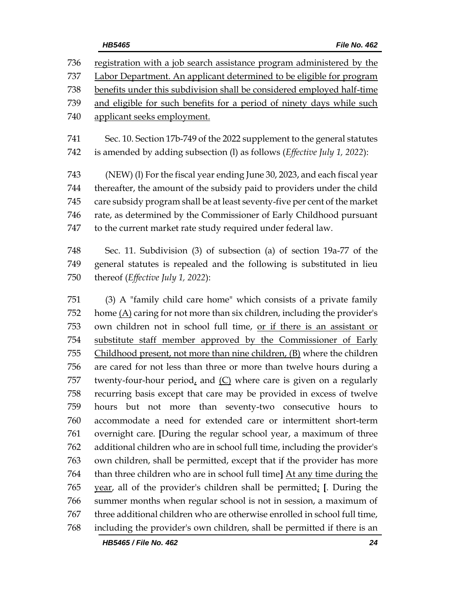registration with a job search assistance program administered by the Labor Department. An applicant determined to be eligible for program benefits under this subdivision shall be considered employed half-time and eligible for such benefits for a period of ninety days while such applicant seeks employment. Sec. 10. Section 17b-749 of the 2022 supplement to the general statutes is amended by adding subsection (l) as follows (*Effective July 1, 2022*): (NEW) (l) For the fiscal year ending June 30, 2023, and each fiscal year thereafter, the amount of the subsidy paid to providers under the child care subsidy program shall be at least seventy-five per cent of the market rate, as determined by the Commissioner of Early Childhood pursuant to the current market rate study required under federal law.

 Sec. 11. Subdivision (3) of subsection (a) of section 19a-77 of the general statutes is repealed and the following is substituted in lieu thereof (*Effective July 1, 2022*):

 (3) A "family child care home" which consists of a private family home (A) caring for not more than six children, including the provider's own children not in school full time, or if there is an assistant or substitute staff member approved by the Commissioner of Early Childhood present, not more than nine children, (B) where the children are cared for not less than three or more than twelve hours during a twenty-four-hour period, and (C) where care is given on a regularly recurring basis except that care may be provided in excess of twelve hours but not more than seventy-two consecutive hours to accommodate a need for extended care or intermittent short-term overnight care. **[**During the regular school year, a maximum of three additional children who are in school full time, including the provider's own children, shall be permitted, except that if the provider has more than three children who are in school full time**]** At any time during the year, all of the provider's children shall be permitted; **[**. During the summer months when regular school is not in session, a maximum of three additional children who are otherwise enrolled in school full time, including the provider's own children, shall be permitted if there is an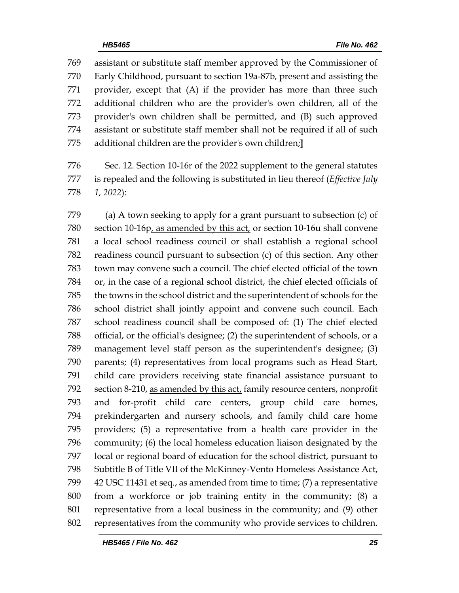assistant or substitute staff member approved by the Commissioner of Early Childhood, pursuant to section 19a-87b, present and assisting the provider, except that (A) if the provider has more than three such additional children who are the provider's own children, all of the provider's own children shall be permitted, and (B) such approved assistant or substitute staff member shall not be required if all of such additional children are the provider's own children;**]**

 Sec. 12. Section 10-16r of the 2022 supplement to the general statutes is repealed and the following is substituted in lieu thereof (*Effective July 1, 2022*):

 (a) A town seeking to apply for a grant pursuant to subsection (c) of section 10-16p, as amended by this act, or section 10-16u shall convene a local school readiness council or shall establish a regional school readiness council pursuant to subsection (c) of this section. Any other town may convene such a council. The chief elected official of the town or, in the case of a regional school district, the chief elected officials of the towns in the school district and the superintendent of schools for the school district shall jointly appoint and convene such council. Each school readiness council shall be composed of: (1) The chief elected official, or the official's designee; (2) the superintendent of schools, or a management level staff person as the superintendent's designee; (3) parents; (4) representatives from local programs such as Head Start, child care providers receiving state financial assistance pursuant to section 8-210, as amended by this act, family resource centers, nonprofit and for-profit child care centers, group child care homes, prekindergarten and nursery schools, and family child care home providers; (5) a representative from a health care provider in the community; (6) the local homeless education liaison designated by the local or regional board of education for the school district, pursuant to Subtitle B of Title VII of the McKinney-Vento Homeless Assistance Act, 42 USC 11431 et seq., as amended from time to time; (7) a representative from a workforce or job training entity in the community; (8) a representative from a local business in the community; and (9) other representatives from the community who provide services to children.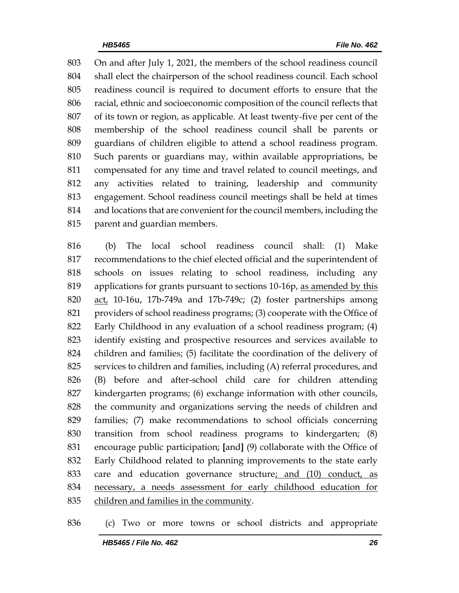On and after July 1, 2021, the members of the school readiness council shall elect the chairperson of the school readiness council. Each school readiness council is required to document efforts to ensure that the racial, ethnic and socioeconomic composition of the council reflects that of its town or region, as applicable. At least twenty-five per cent of the membership of the school readiness council shall be parents or guardians of children eligible to attend a school readiness program. Such parents or guardians may, within available appropriations, be compensated for any time and travel related to council meetings, and any activities related to training, leadership and community engagement. School readiness council meetings shall be held at times and locations that are convenient for the council members, including the parent and guardian members.

 (b) The local school readiness council shall: (1) Make recommendations to the chief elected official and the superintendent of schools on issues relating to school readiness, including any applications for grants pursuant to sections 10-16p, as amended by this act, 10-16u, 17b-749a and 17b-749c; (2) foster partnerships among providers of school readiness programs; (3) cooperate with the Office of Early Childhood in any evaluation of a school readiness program; (4) identify existing and prospective resources and services available to children and families; (5) facilitate the coordination of the delivery of services to children and families, including (A) referral procedures, and (B) before and after-school child care for children attending kindergarten programs; (6) exchange information with other councils, the community and organizations serving the needs of children and families; (7) make recommendations to school officials concerning transition from school readiness programs to kindergarten; (8) encourage public participation; **[**and**]** (9) collaborate with the Office of Early Childhood related to planning improvements to the state early care and education governance structure; and (10) conduct, as necessary, a needs assessment for early childhood education for children and families in the community.

(c) Two or more towns or school districts and appropriate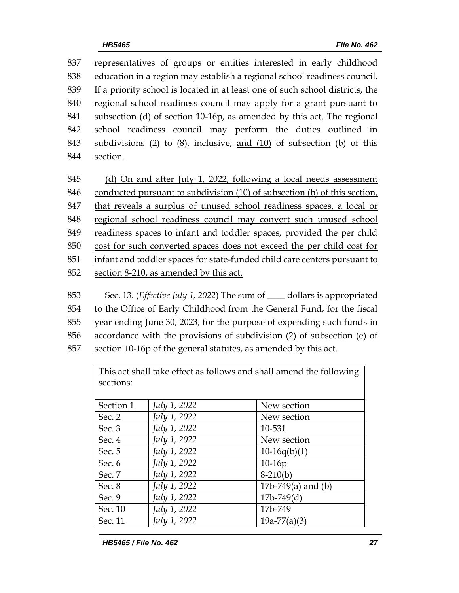representatives of groups or entities interested in early childhood education in a region may establish a regional school readiness council. If a priority school is located in at least one of such school districts, the regional school readiness council may apply for a grant pursuant to subsection (d) of section 10-16p, as amended by this act. The regional school readiness council may perform the duties outlined in subdivisions (2) to (8), inclusive, and (10) of subsection (b) of this 844 section.

 (d) On and after July 1, 2022, following a local needs assessment conducted pursuant to subdivision (10) of subsection (b) of this section, that reveals a surplus of unused school readiness spaces, a local or regional school readiness council may convert such unused school readiness spaces to infant and toddler spaces, provided the per child cost for such converted spaces does not exceed the per child cost for infant and toddler spaces for state-funded child care centers pursuant to section 8-210, as amended by this act.

 Sec. 13. (*Effective July 1, 2022*) The sum of \_\_\_\_ dollars is appropriated to the Office of Early Childhood from the General Fund, for the fiscal year ending June 30, 2023, for the purpose of expending such funds in accordance with the provisions of subdivision (2) of subsection (e) of section 10-16p of the general statutes, as amended by this act.

> This act shall take effect as follows and shall amend the following sections:

| Section 1 | July 1, 2022 | New section          |
|-----------|--------------|----------------------|
| Sec. 2    | July 1, 2022 | New section          |
| Sec. 3    | July 1, 2022 | 10-531               |
| Sec. 4    | July 1, 2022 | New section          |
| Sec. 5    | July 1, 2022 | $10-16q(b)(1)$       |
| Sec. 6    | July 1, 2022 | $10-16p$             |
| Sec. 7    | July 1, 2022 | $8-210(b)$           |
| Sec. 8    | July 1, 2022 | 17b-749(a) and $(b)$ |
| Sec. 9    | July 1, 2022 | $17b-749(d)$         |
| Sec. 10   | July 1, 2022 | 17b-749              |
| Sec. 11   | July 1, 2022 | $19a-77(a)(3)$       |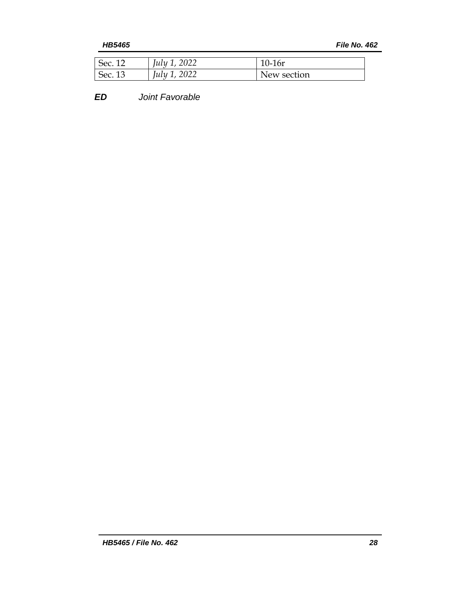*HB5465 File No. 462*

| $\epsilon$ Sec. 12 | July 1, 2022 | 10-16r      |
|--------------------|--------------|-------------|
| Sec. $13$          | July 1, 2022 | New section |

*ED Joint Favorable*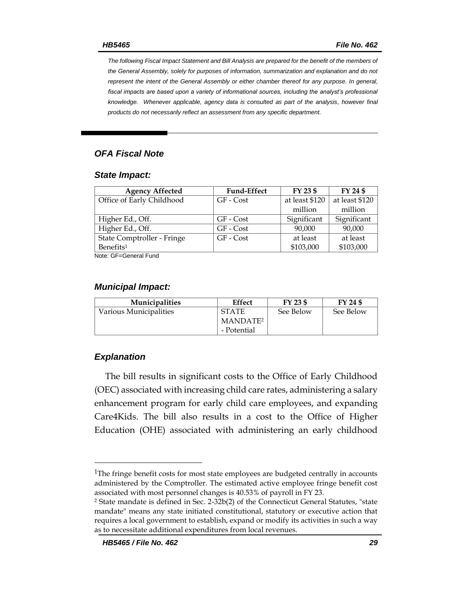*The following Fiscal Impact Statement and Bill Analysis are prepared for the benefit of the members of the General Assembly, solely for purposes of information, summarization and explanation and do not represent the intent of the General Assembly or either chamber thereof for any purpose. In general,*  fiscal impacts are based upon a variety of informational sources, including the analyst's professional *knowledge. Whenever applicable, agency data is consulted as part of the analysis, however final products do not necessarily reflect an assessment from any specific department.*

#### *OFA Fiscal Note*

#### *State Impact:*

| <b>Agency Affected</b>     | <b>Fund-Effect</b> | FY 23 \$       | FY 24 \$       |
|----------------------------|--------------------|----------------|----------------|
| Office of Early Childhood  | GF - Cost          | at least \$120 | at least \$120 |
|                            |                    | million        | million        |
| Higher Ed., Off.           | GF - Cost          | Significant    | Significant    |
| Higher Ed., Off.           | GF - Cost          | 90,000         | 90,000         |
| State Comptroller - Fringe | GF - Cost          | at least       | at least       |
| Benefits <sup>1</sup>      |                    | \$103,000      | \$103,000      |
| Note: CE-Ceneral Fund      |                    |                |                |

Note: GF=General Fund

#### *Municipal Impact:*

| <b>Municipalities</b>  | Effect               | FY 23 \$  | FY 24 \$  |
|------------------------|----------------------|-----------|-----------|
| Various Municipalities | <b>STATE</b>         | See Below | See Below |
|                        | MANDATE <sup>2</sup> |           |           |
|                        | - Potential          |           |           |

#### *Explanation*

The bill results in significant costs to the Office of Early Childhood (OEC) associated with increasing child care rates, administering a salary enhancement program for early child care employees, and expanding Care4Kids. The bill also results in a cost to the Office of Higher Education (OHE) associated with administering an early childhood

<sup>&</sup>lt;sup>1</sup>The fringe benefit costs for most state employees are budgeted centrally in accounts administered by the Comptroller. The estimated active employee fringe benefit cost associated with most personnel changes is 40.53% of payroll in FY 23.

<sup>2</sup> State mandate is defined in Sec. 2-32b(2) of the Connecticut General Statutes, "state mandate" means any state initiated constitutional, statutory or executive action that requires a local government to establish, expand or modify its activities in such a way as to necessitate additional expenditures from local revenues.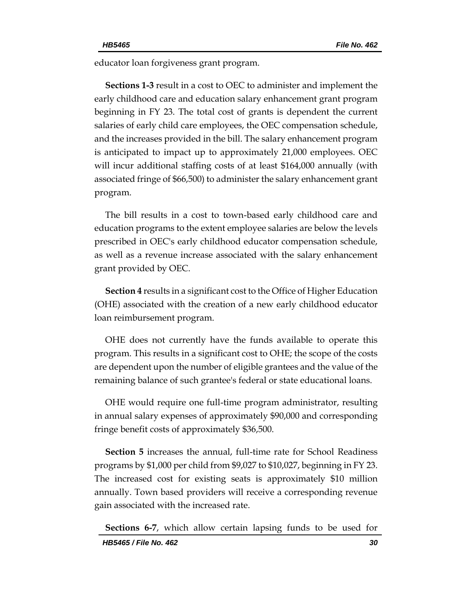educator loan forgiveness grant program.

**Sections 1-3** result in a cost to OEC to administer and implement the early childhood care and education salary enhancement grant program beginning in FY 23. The total cost of grants is dependent the current salaries of early child care employees, the OEC compensation schedule, and the increases provided in the bill. The salary enhancement program is anticipated to impact up to approximately 21,000 employees. OEC will incur additional staffing costs of at least \$164,000 annually (with associated fringe of \$66,500) to administer the salary enhancement grant program.

The bill results in a cost to town-based early childhood care and education programs to the extent employee salaries are below the levels prescribed in OEC's early childhood educator compensation schedule, as well as a revenue increase associated with the salary enhancement grant provided by OEC.

**Section 4** results in a significant cost to the Office of Higher Education (OHE) associated with the creation of a new early childhood educator loan reimbursement program.

OHE does not currently have the funds available to operate this program. This results in a significant cost to OHE; the scope of the costs are dependent upon the number of eligible grantees and the value of the remaining balance of such grantee's federal or state educational loans.

OHE would require one full-time program administrator, resulting in annual salary expenses of approximately \$90,000 and corresponding fringe benefit costs of approximately \$36,500.

**Section 5** increases the annual, full-time rate for School Readiness programs by \$1,000 per child from \$9,027 to \$10,027, beginning in FY 23. The increased cost for existing seats is approximately \$10 million annually. Town based providers will receive a corresponding revenue gain associated with the increased rate.

**Sections 6-7**, which allow certain lapsing funds to be used for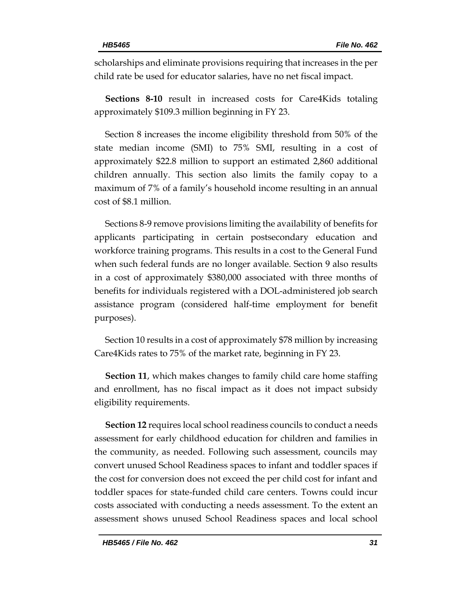scholarships and eliminate provisions requiring that increases in the per child rate be used for educator salaries, have no net fiscal impact.

**Sections 8-10** result in increased costs for Care4Kids totaling approximately \$109.3 million beginning in FY 23.

Section 8 increases the income eligibility threshold from 50% of the state median income (SMI) to 75% SMI, resulting in a cost of approximately \$22.8 million to support an estimated 2,860 additional children annually. This section also limits the family copay to a maximum of 7% of a family's household income resulting in an annual cost of \$8.1 million.

Sections 8-9 remove provisions limiting the availability of benefits for applicants participating in certain postsecondary education and workforce training programs. This results in a cost to the General Fund when such federal funds are no longer available. Section 9 also results in a cost of approximately \$380,000 associated with three months of benefits for individuals registered with a DOL-administered job search assistance program (considered half-time employment for benefit purposes).

Section 10 results in a cost of approximately \$78 million by increasing Care4Kids rates to 75% of the market rate, beginning in FY 23.

**Section 11**, which makes changes to family child care home staffing and enrollment, has no fiscal impact as it does not impact subsidy eligibility requirements.

**Section 12** requires local school readiness councils to conduct a needs assessment for early childhood education for children and families in the community, as needed. Following such assessment, councils may convert unused School Readiness spaces to infant and toddler spaces if the cost for conversion does not exceed the per child cost for infant and toddler spaces for state-funded child care centers. Towns could incur costs associated with conducting a needs assessment. To the extent an assessment shows unused School Readiness spaces and local school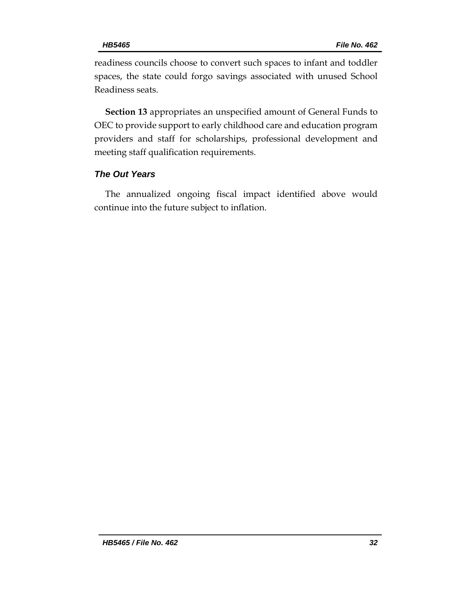readiness councils choose to convert such spaces to infant and toddler spaces, the state could forgo savings associated with unused School Readiness seats.

**Section 13** appropriates an unspecified amount of General Funds to OEC to provide support to early childhood care and education program providers and staff for scholarships, professional development and meeting staff qualification requirements.

# *The Out Years*

The annualized ongoing fiscal impact identified above would continue into the future subject to inflation.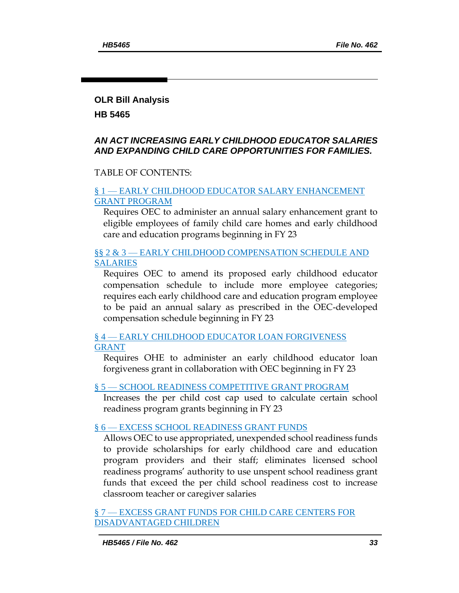# **OLR Bill Analysis**

**HB 5465** 

#### *AN ACT INCREASING EARLY CHILDHOOD EDUCATOR SALARIES AND EXPANDING CHILD CARE OPPORTUNITIES FOR FAMILIES.*

#### TABLE OF CONTENTS:

#### § 1 — [EARLY CHILDHOOD EDUCATOR SALARY ENHANCEMENT](#page-33-0)  [GRANT PROGRAM](#page-33-0)

[Requires OEC to administer an annual salary enhancement grant to](#page-33-1)  [eligible employees of family child care homes and early childhood](#page-33-1)  [care and education programs beginning in FY 23](#page-33-1)

## §§ 2 & 3 — [EARLY CHILDHOOD COMPENSATION SCHEDULE AND](#page-35-0)  **[SALARIES](#page-35-0)**

[Requires OEC to amend its proposed early childhood educator](#page-35-1)  [compensation schedule to include more employee categories;](#page-35-1)  [requires each early childhood care and education program employee](#page-35-1)  [to be paid an annual salary as prescribed in the OEC-developed](#page-35-1)  [compensation schedule beginning in FY 23](#page-35-1)

§ 4 — [EARLY CHILDHOOD EDUCATOR LOAN FORGIVENESS](#page-37-0)  [GRANT](#page-37-0)

[Requires OHE to administer an early childhood educator loan](#page-37-1)  [forgiveness grant in collaboration with OEC beginning in FY 23](#page-37-1)

#### § 5 — [SCHOOL READINESS COMPETITIVE GRANT PROGRAM](#page-38-0)

[Increases the per child cost cap used to calculate certain school](#page-38-1)  [readiness program grants beginning in FY 23](#page-38-1)

#### § 6 — [EXCESS SCHOOL READINESS GRANT FUNDS](#page-38-2)

[Allows OEC to use appropriated, unexpended school readiness funds](#page-38-3)  [to provide scholarships for early childhood care and education](#page-38-3)  [program providers and their staff; eliminates licensed school](#page-38-3)  [readiness programs' authority to use unspent school readiness grant](#page-38-3)  [funds that exceed the per child school readiness cost to increase](#page-38-3)  [classroom teacher or caregiver salaries](#page-38-3)

§ 7 — [EXCESS GRANT FUNDS FOR CHILD CARE CENTERS FOR](#page-39-0)  [DISADVANTAGED CHILDREN](#page-39-0)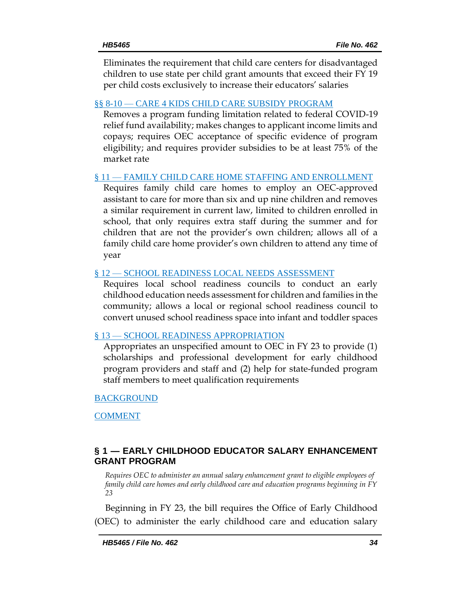[Eliminates the requirement that child care centers for disadvantaged](#page-39-1)  [children to use state per child grant amounts that exceed their FY 19](#page-39-1)  [per child costs exclusively to increa](#page-39-1)se their educators' salaries

#### §§ 8-10 — [CARE 4 KIDS CHILD CARE SUBSIDY PROGRAM](#page-40-0)

[Removes a program funding limitation related to federal COVID-19](#page-40-1)  [relief fund availability; makes changes to applicant income limits and](#page-40-1)  [copays; requires OEC acceptance of specific evidence of program](#page-40-1)  [eligibility; and requires provider subsidies to be at least 75% of the](#page-40-1)  [market rate](#page-40-1)

#### § 11 — [FAMILY CHILD CARE HOME STAFFING AND ENROLLMENT](#page-42-0)

[Requires family child care homes to employ an OEC-approved](#page-42-1)  [assistant to care for more than six and up nine children and removes](#page-42-1)  [a similar requirement in current law, limited to children enrolled in](#page-42-1)  [school, that only requires extra staff during the summer and for](#page-42-1)  [children that are not the provider's own children; allows all of a](#page-42-1)  [family child care home provider's own children to attend any time of](#page-42-1)  [year](#page-42-1)

## § 12 - [SCHOOL READINESS LOCAL NEEDS ASSESSMENT](#page-43-0)

[Requires local school readiness councils to conduct an early](#page-43-1)  [childhood education needs assessment for children and families in the](#page-43-1)  [community; allows a local or regional school readiness council to](#page-43-1)  [convert unused school readiness space into infant and toddler spaces](#page-43-1)

## § 13 — [SCHOOL READINESS APPROPRIATION](#page-44-0)

[Appropriates an unspecified amount to OEC in FY 23 to provide \(1\)](#page-44-1)  [scholarships and professional development for early childhood](#page-44-1)  [program providers and staff and \(2\) help](#page-44-1) for state-funded program [staff members to meet qualification requirements](#page-44-1)

## [BACKGROUND](#page-44-2)

[COMMENT](#page-46-0)

# <span id="page-33-0"></span>**§ 1 — EARLY CHILDHOOD EDUCATOR SALARY ENHANCEMENT GRANT PROGRAM**

<span id="page-33-1"></span>*Requires OEC to administer an annual salary enhancement grant to eligible employees of family child care homes and early childhood care and education programs beginning in FY 23*

Beginning in FY 23, the bill requires the Office of Early Childhood (OEC) to administer the early childhood care and education salary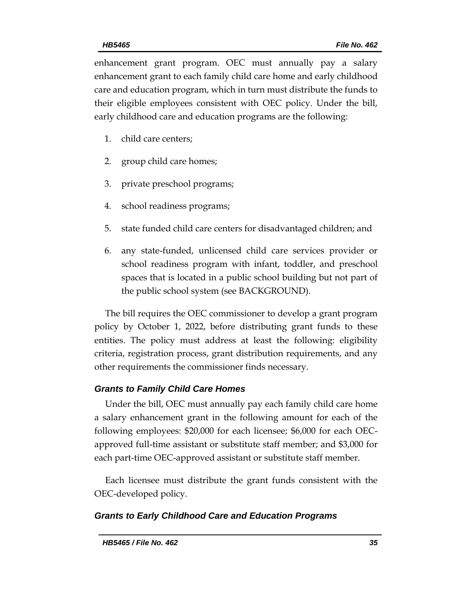enhancement grant program. OEC must annually pay a salary enhancement grant to each family child care home and early childhood care and education program, which in turn must distribute the funds to their eligible employees consistent with OEC policy. Under the bill, early childhood care and education programs are the following:

- 1. child care centers;
- 2. group child care homes;
- 3. private preschool programs;
- 4. school readiness programs;
- 5. state funded child care centers for disadvantaged children; and
- 6. any state-funded, unlicensed child care services provider or school readiness program with infant, toddler, and preschool spaces that is located in a public school building but not part of the public school system (see BACKGROUND).

The bill requires the OEC commissioner to develop a grant program policy by October 1, 2022, before distributing grant funds to these entities. The policy must address at least the following: eligibility criteria, registration process, grant distribution requirements, and any other requirements the commissioner finds necessary.

## *Grants to Family Child Care Homes*

Under the bill, OEC must annually pay each family child care home a salary enhancement grant in the following amount for each of the following employees: \$20,000 for each licensee; \$6,000 for each OECapproved full-time assistant or substitute staff member; and \$3,000 for each part-time OEC-approved assistant or substitute staff member.

Each licensee must distribute the grant funds consistent with the OEC-developed policy.

## *Grants to Early Childhood Care and Education Programs*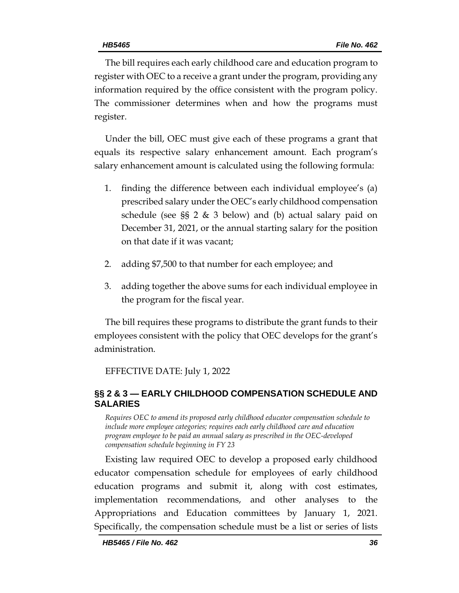The bill requires each early childhood care and education program to register with OEC to a receive a grant under the program, providing any information required by the office consistent with the program policy. The commissioner determines when and how the programs must register.

Under the bill, OEC must give each of these programs a grant that equals its respective salary enhancement amount. Each program's salary enhancement amount is calculated using the following formula:

- 1. finding the difference between each individual employee's (a) prescribed salary under the OEC's early childhood compensation schedule (see §§ 2 & 3 below) and (b) actual salary paid on December 31, 2021, or the annual starting salary for the position on that date if it was vacant;
- 2. adding \$7,500 to that number for each employee; and
- 3. adding together the above sums for each individual employee in the program for the fiscal year.

The bill requires these programs to distribute the grant funds to their employees consistent with the policy that OEC develops for the grant's administration.

EFFECTIVE DATE: July 1, 2022

# <span id="page-35-0"></span>**§§ 2 & 3 — EARLY CHILDHOOD COMPENSATION SCHEDULE AND SALARIES**

<span id="page-35-1"></span>*Requires OEC to amend its proposed early childhood educator compensation schedule to include more employee categories; requires each early childhood care and education program employee to be paid an annual salary as prescribed in the OEC-developed compensation schedule beginning in FY 23*

Existing law required OEC to develop a proposed early childhood educator compensation schedule for employees of early childhood education programs and submit it, along with cost estimates, implementation recommendations, and other analyses to the Appropriations and Education committees by January 1, 2021. Specifically, the compensation schedule must be a list or series of lists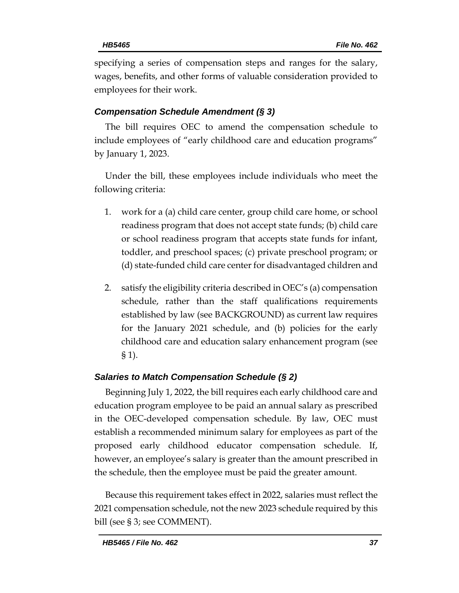specifying a series of compensation steps and ranges for the salary, wages, benefits, and other forms of valuable consideration provided to employees for their work.

#### *Compensation Schedule Amendment (§ 3)*

The bill requires OEC to amend the compensation schedule to include employees of "early childhood care and education programs" by January 1, 2023.

Under the bill, these employees include individuals who meet the following criteria:

- 1. work for a (a) child care center, group child care home, or school readiness program that does not accept state funds; (b) child care or school readiness program that accepts state funds for infant, toddler, and preschool spaces; (c) private preschool program; or (d) state-funded child care center for disadvantaged children and
- 2. satisfy the eligibility criteria described in OEC's (a) compensation schedule, rather than the staff qualifications requirements established by law (see BACKGROUND) as current law requires for the January 2021 schedule, and (b) policies for the early childhood care and education salary enhancement program (see § 1).

#### *Salaries to Match Compensation Schedule (§ 2)*

Beginning July 1, 2022, the bill requires each early childhood care and education program employee to be paid an annual salary as prescribed in the OEC-developed compensation schedule. By law, OEC must establish a recommended minimum salary for employees as part of the proposed early childhood educator compensation schedule. If, however, an employee's salary is greater than the amount prescribed in the schedule, then the employee must be paid the greater amount.

Because this requirement takes effect in 2022, salaries must reflect the 2021 compensation schedule, not the new 2023 schedule required by this bill (see § 3; see COMMENT).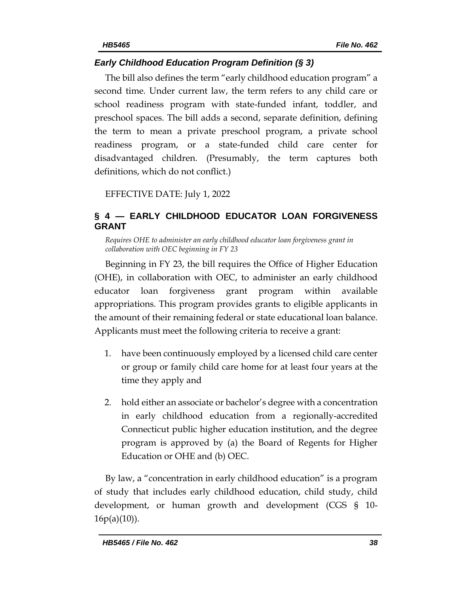# *Early Childhood Education Program Definition (§ 3)*

The bill also defines the term "early childhood education program" a second time. Under current law, the term refers to any child care or school readiness program with state-funded infant, toddler, and preschool spaces. The bill adds a second, separate definition, defining the term to mean a private preschool program, a private school readiness program, or a state-funded child care center for disadvantaged children. (Presumably, the term captures both definitions, which do not conflict.)

EFFECTIVE DATE: July 1, 2022

# <span id="page-37-0"></span>**§ 4 — EARLY CHILDHOOD EDUCATOR LOAN FORGIVENESS GRANT**

<span id="page-37-1"></span>*Requires OHE to administer an early childhood educator loan forgiveness grant in collaboration with OEC beginning in FY 23*

Beginning in FY 23, the bill requires the Office of Higher Education (OHE), in collaboration with OEC, to administer an early childhood educator loan forgiveness grant program within available appropriations. This program provides grants to eligible applicants in the amount of their remaining federal or state educational loan balance. Applicants must meet the following criteria to receive a grant:

- 1. have been continuously employed by a licensed child care center or group or family child care home for at least four years at the time they apply and
- 2. hold either an associate or bachelor's degree with a concentration in early childhood education from a regionally-accredited Connecticut public higher education institution, and the degree program is approved by (a) the Board of Regents for Higher Education or OHE and (b) OEC.

By law, a "concentration in early childhood education" is a program of study that includes early childhood education, child study, child development, or human growth and development (CGS § 10-  $16p(a)(10)$ ).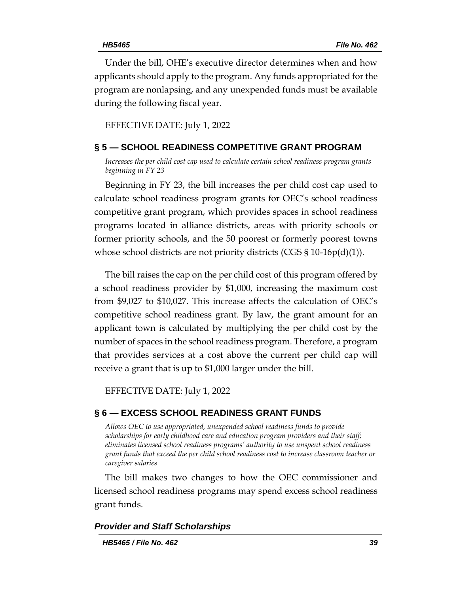Under the bill, OHE's executive director determines when and how applicants should apply to the program. Any funds appropriated for the program are nonlapsing, and any unexpended funds must be available during the following fiscal year.

EFFECTIVE DATE: July 1, 2022

#### <span id="page-38-0"></span>**§ 5 — SCHOOL READINESS COMPETITIVE GRANT PROGRAM**

<span id="page-38-1"></span>*Increases the per child cost cap used to calculate certain school readiness program grants beginning in FY 23*

Beginning in FY 23, the bill increases the per child cost cap used to calculate school readiness program grants for OEC's school readiness competitive grant program, which provides spaces in school readiness programs located in alliance districts, areas with priority schools or former priority schools, and the 50 poorest or formerly poorest towns whose school districts are not priority districts (CGS  $\S 10\n-16p(d)(1)$ ).

The bill raises the cap on the per child cost of this program offered by a school readiness provider by \$1,000, increasing the maximum cost from \$9,027 to \$10,027. This increase affects the calculation of OEC's competitive school readiness grant. By law, the grant amount for an applicant town is calculated by multiplying the per child cost by the number of spaces in the school readiness program. Therefore, a program that provides services at a cost above the current per child cap will receive a grant that is up to \$1,000 larger under the bill.

EFFECTIVE DATE: July 1, 2022

#### <span id="page-38-2"></span>**§ 6 — EXCESS SCHOOL READINESS GRANT FUNDS**

<span id="page-38-3"></span>*Allows OEC to use appropriated, unexpended school readiness funds to provide scholarships for early childhood care and education program providers and their staff; eliminates licensed school readiness programs' authority to use unspent school readiness grant funds that exceed the per child school readiness cost to increase classroom teacher or caregiver salaries*

The bill makes two changes to how the OEC commissioner and licensed school readiness programs may spend excess school readiness grant funds.

#### *Provider and Staff Scholarships*

*HB5465 / File No. 462 39*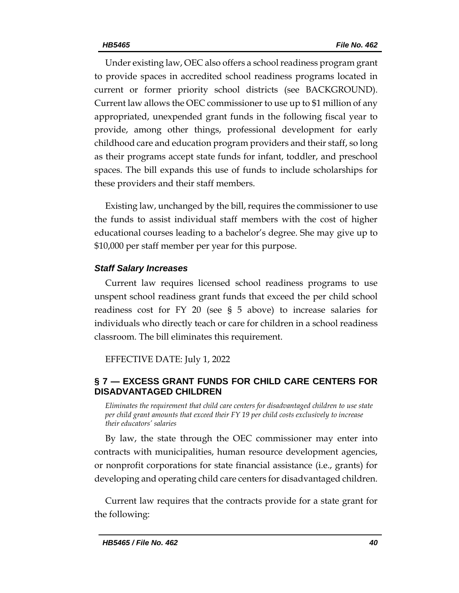Under existing law, OEC also offers a school readiness program grant to provide spaces in accredited school readiness programs located in current or former priority school districts (see BACKGROUND). Current law allows the OEC commissioner to use up to \$1 million of any appropriated, unexpended grant funds in the following fiscal year to provide, among other things, professional development for early childhood care and education program providers and their staff, so long as their programs accept state funds for infant, toddler, and preschool spaces. The bill expands this use of funds to include scholarships for these providers and their staff members.

Existing law, unchanged by the bill, requires the commissioner to use the funds to assist individual staff members with the cost of higher educational courses leading to a bachelor's degree. She may give up to \$10,000 per staff member per year for this purpose.

## *Staff Salary Increases*

Current law requires licensed school readiness programs to use unspent school readiness grant funds that exceed the per child school readiness cost for FY 20 (see § 5 above) to increase salaries for individuals who directly teach or care for children in a school readiness classroom. The bill eliminates this requirement.

EFFECTIVE DATE: July 1, 2022

# <span id="page-39-0"></span>**§ 7 — EXCESS GRANT FUNDS FOR CHILD CARE CENTERS FOR DISADVANTAGED CHILDREN**

<span id="page-39-1"></span>*Eliminates the requirement that child care centers for disadvantaged children to use state per child grant amounts that exceed their FY 19 per child costs exclusively to increase their educators' salaries*

By law, the state through the OEC commissioner may enter into contracts with municipalities, human resource development agencies, or nonprofit corporations for state financial assistance (i.e., grants) for developing and operating child care centers for disadvantaged children.

Current law requires that the contracts provide for a state grant for the following: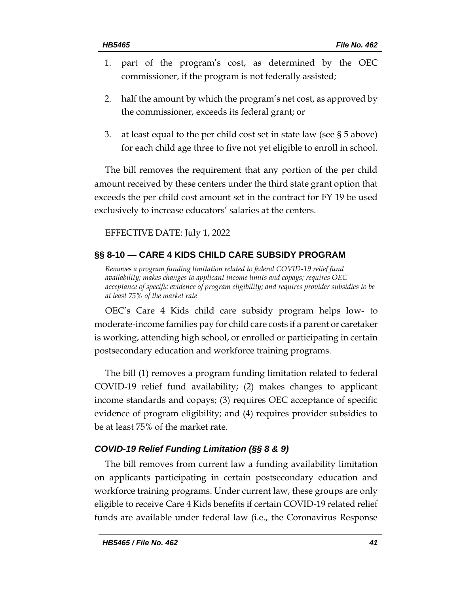- 1. part of the program's cost, as determined by the OEC commissioner, if the program is not federally assisted;
- 2. half the amount by which the program's net cost, as approved by the commissioner, exceeds its federal grant; or
- 3. at least equal to the per child cost set in state law (see § 5 above) for each child age three to five not yet eligible to enroll in school.

The bill removes the requirement that any portion of the per child amount received by these centers under the third state grant option that exceeds the per child cost amount set in the contract for FY 19 be used exclusively to increase educators' salaries at the centers.

EFFECTIVE DATE: July 1, 2022

# <span id="page-40-0"></span>**§§ 8-10 — CARE 4 KIDS CHILD CARE SUBSIDY PROGRAM**

<span id="page-40-1"></span>*Removes a program funding limitation related to federal COVID-19 relief fund availability; makes changes to applicant income limits and copays; requires OEC acceptance of specific evidence of program eligibility; and requires provider subsidies to be at least 75% of the market rate*

OEC's Care 4 Kids child care subsidy program helps low- to moderate-income families pay for child care costs if a parent or caretaker is working, attending high school, or enrolled or participating in certain postsecondary education and workforce training programs.

The bill (1) removes a program funding limitation related to federal COVID-19 relief fund availability; (2) makes changes to applicant income standards and copays; (3) requires OEC acceptance of specific evidence of program eligibility; and (4) requires provider subsidies to be at least 75% of the market rate.

# *COVID-19 Relief Funding Limitation (§§ 8 & 9)*

The bill removes from current law a funding availability limitation on applicants participating in certain postsecondary education and workforce training programs. Under current law, these groups are only eligible to receive Care 4 Kids benefits if certain COVID-19 related relief funds are available under federal law (i.e., the Coronavirus Response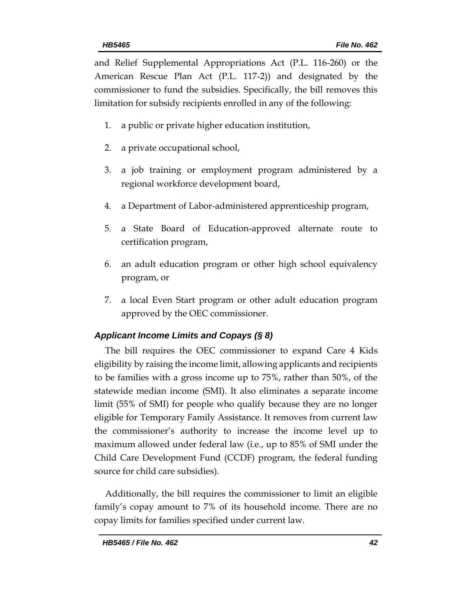and Relief Supplemental Appropriations Act (P.L. 116-260) or the American Rescue Plan Act (P.L. 117-2)) and designated by the commissioner to fund the subsidies. Specifically, the bill removes this limitation for subsidy recipients enrolled in any of the following:

- 1. a public or private higher education institution,
- 2. a private occupational school,
- 3. a job training or employment program administered by a regional workforce development board,
- 4. a Department of Labor-administered apprenticeship program,
- 5. a State Board of Education-approved alternate route to certification program,
- 6. an adult education program or other high school equivalency program, or
- 7. a local Even Start program or other adult education program approved by the OEC commissioner.

## *Applicant Income Limits and Copays (§ 8)*

The bill requires the OEC commissioner to expand Care 4 Kids eligibility by raising the income limit, allowing applicants and recipients to be families with a gross income up to 75%, rather than 50%, of the statewide median income (SMI). It also eliminates a separate income limit (55% of SMI) for people who qualify because they are no longer eligible for Temporary Family Assistance. It removes from current law the commissioner's authority to increase the income level up to maximum allowed under federal law (i.e., up to 85% of SMI under the Child Care Development Fund (CCDF) program, the federal funding source for child care subsidies).

Additionally, the bill requires the commissioner to limit an eligible family's copay amount to 7% of its household income. There are no copay limits for families specified under current law.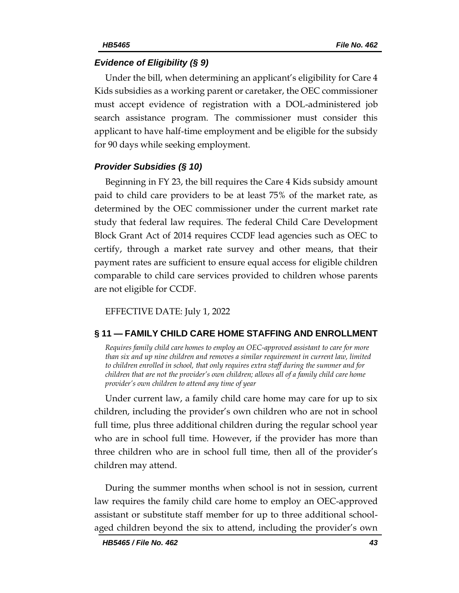#### *Evidence of Eligibility (§ 9)*

Under the bill, when determining an applicant's eligibility for Care 4 Kids subsidies as a working parent or caretaker, the OEC commissioner must accept evidence of registration with a DOL-administered job search assistance program. The commissioner must consider this applicant to have half-time employment and be eligible for the subsidy for 90 days while seeking employment.

#### *Provider Subsidies (§ 10)*

Beginning in FY 23, the bill requires the Care 4 Kids subsidy amount paid to child care providers to be at least 75% of the market rate, as determined by the OEC commissioner under the current market rate study that federal law requires. The federal Child Care Development Block Grant Act of 2014 requires CCDF lead agencies such as OEC to certify, through a market rate survey and other means, that their payment rates are sufficient to ensure equal access for eligible children comparable to child care services provided to children whose parents are not eligible for CCDF.

EFFECTIVE DATE: July 1, 2022

#### <span id="page-42-0"></span>**§ 11 — FAMILY CHILD CARE HOME STAFFING AND ENROLLMENT**

<span id="page-42-1"></span>*Requires family child care homes to employ an OEC-approved assistant to care for more than six and up nine children and removes a similar requirement in current law, limited to children enrolled in school, that only requires extra staff during the summer and for children that are not the provider's own children; allows all of a family child care home provider's own children to attend any time of year* 

Under current law, a family child care home may care for up to six children, including the provider's own children who are not in school full time, plus three additional children during the regular school year who are in school full time. However, if the provider has more than three children who are in school full time, then all of the provider's children may attend.

During the summer months when school is not in session, current law requires the family child care home to employ an OEC-approved assistant or substitute staff member for up to three additional schoolaged children beyond the six to attend, including the provider's own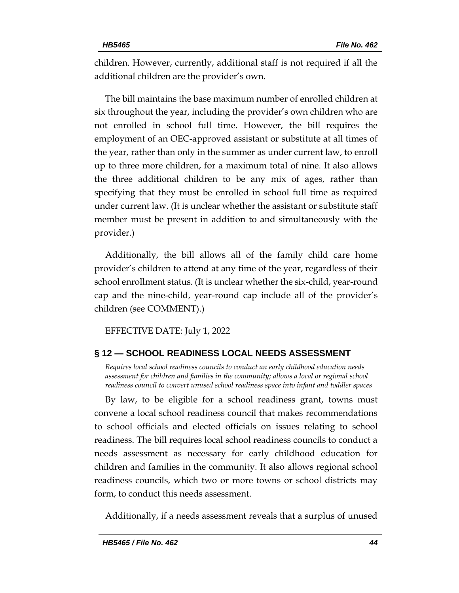children. However, currently, additional staff is not required if all the additional children are the provider's own.

The bill maintains the base maximum number of enrolled children at six throughout the year, including the provider's own children who are not enrolled in school full time. However, the bill requires the employment of an OEC-approved assistant or substitute at all times of the year, rather than only in the summer as under current law, to enroll up to three more children, for a maximum total of nine. It also allows the three additional children to be any mix of ages, rather than specifying that they must be enrolled in school full time as required under current law. (It is unclear whether the assistant or substitute staff member must be present in addition to and simultaneously with the provider.)

Additionally, the bill allows all of the family child care home provider's children to attend at any time of the year, regardless of their school enrollment status. (It is unclear whether the six-child, year-round cap and the nine-child, year-round cap include all of the provider's children (see COMMENT).)

EFFECTIVE DATE: July 1, 2022

## <span id="page-43-0"></span>**§ 12 — SCHOOL READINESS LOCAL NEEDS ASSESSMENT**

<span id="page-43-1"></span>*Requires local school readiness councils to conduct an early childhood education needs assessment for children and families in the community; allows a local or regional school readiness council to convert unused school readiness space into infant and toddler spaces*

By law, to be eligible for a school readiness grant, towns must convene a local school readiness council that makes recommendations to school officials and elected officials on issues relating to school readiness. The bill requires local school readiness councils to conduct a needs assessment as necessary for early childhood education for children and families in the community. It also allows regional school readiness councils, which two or more towns or school districts may form, to conduct this needs assessment.

Additionally, if a needs assessment reveals that a surplus of unused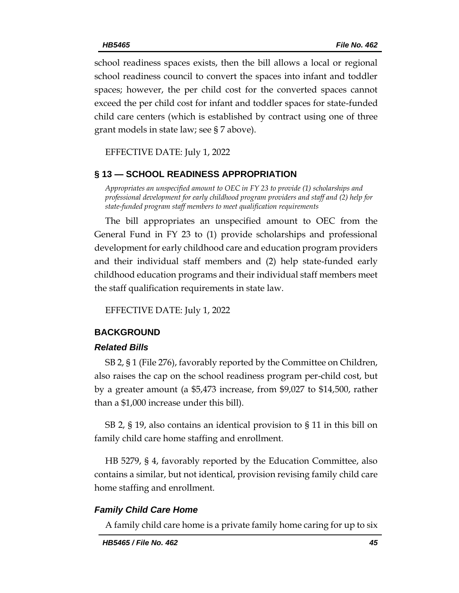school readiness spaces exists, then the bill allows a local or regional school readiness council to convert the spaces into infant and toddler spaces; however, the per child cost for the converted spaces cannot exceed the per child cost for infant and toddler spaces for state-funded child care centers (which is established by contract using one of three grant models in state law; see § 7 above).

EFFECTIVE DATE: July 1, 2022

## <span id="page-44-0"></span>**§ 13 — SCHOOL READINESS APPROPRIATION**

<span id="page-44-1"></span>*Appropriates an unspecified amount to OEC in FY 23 to provide (1) scholarships and professional development for early childhood program providers and staff and (2) help for state-funded program staff members to meet qualification requirements*

The bill appropriates an unspecified amount to OEC from the General Fund in FY 23 to (1) provide scholarships and professional development for early childhood care and education program providers and their individual staff members and (2) help state-funded early childhood education programs and their individual staff members meet the staff qualification requirements in state law.

EFFECTIVE DATE: July 1, 2022

## <span id="page-44-2"></span>**BACKGROUND**

#### *Related Bills*

SB 2, § 1 (File 276), favorably reported by the Committee on Children, also raises the cap on the school readiness program per-child cost, but by a greater amount (a \$5,473 increase, from \$9,027 to \$14,500, rather than a \$1,000 increase under this bill).

SB 2, § 19, also contains an identical provision to § 11 in this bill on family child care home staffing and enrollment.

HB 5279, § 4, favorably reported by the Education Committee, also contains a similar, but not identical, provision revising family child care home staffing and enrollment.

#### *Family Child Care Home*

A family child care home is a private family home caring for up to six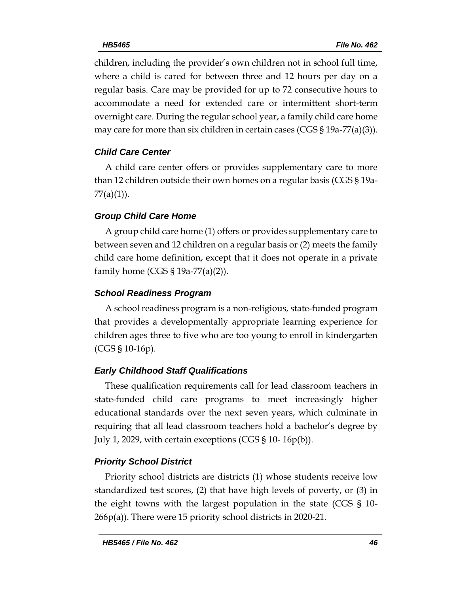children, including the provider's own children not in school full time, where a child is cared for between three and 12 hours per day on a regular basis. Care may be provided for up to 72 consecutive hours to accommodate a need for extended care or intermittent short-term overnight care. During the regular school year, a family child care home may care for more than six children in certain cases (CGS  $\S 19a-77(a)(3)$ ).

# *Child Care Center*

A child care center offers or provides supplementary care to more than 12 children outside their own homes on a regular basis (CGS § 19a-77(a)(1)).

# *Group Child Care Home*

A group child care home (1) offers or provides supplementary care to between seven and 12 children on a regular basis or (2) meets the family child care home definition, except that it does not operate in a private family home (CGS § 19a-77(a)(2)).

# *School Readiness Program*

A school readiness program is a non-religious, state-funded program that provides a developmentally appropriate learning experience for children ages three to five who are too young to enroll in kindergarten (CGS § 10-16p).

# *Early Childhood Staff Qualifications*

These qualification requirements call for lead classroom teachers in state-funded child care programs to meet increasingly higher educational standards over the next seven years, which culminate in requiring that all lead classroom teachers hold a bachelor's degree by July 1, 2029, with certain exceptions (CGS § 10- 16p(b)).

# *Priority School District*

Priority school districts are districts (1) whose students receive low standardized test scores, (2) that have high levels of poverty, or (3) in the eight towns with the largest population in the state (CGS § 10- 266p(a)). There were 15 priority school districts in 2020-21.